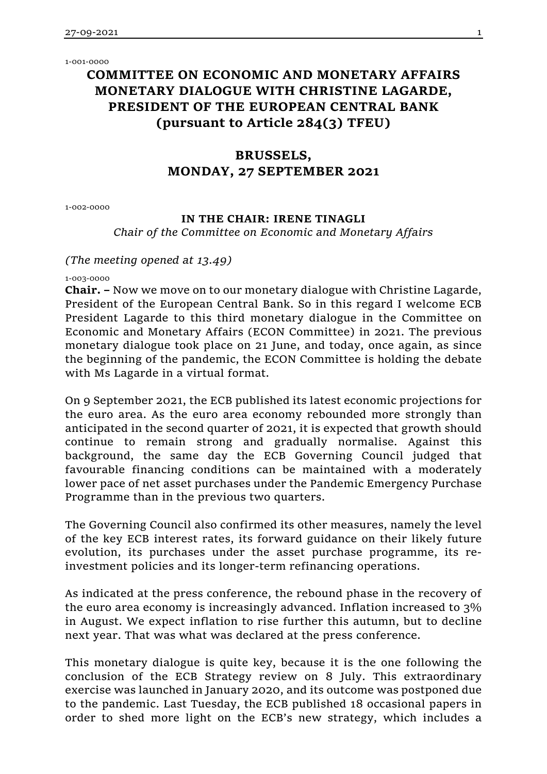1-001-0000

# **COMMITTEE ON ECONOMIC AND MONETARY AFFAIRS MONETARY DIALOGUE WITH CHRISTINE LAGARDE, PRESIDENT OF THE EUROPEAN CENTRAL BANK (pursuant to Article 284(3) TFEU)**

# **BRUSSELS, MONDAY, 27 SEPTEMBER 2021**

1-002-0000

# **IN THE CHAIR: IRENE TINAGLI**

*Chair of the Committee on Economic and Monetary Affairs*

# *(The meeting opened at 13.49)*

1-003-0000

**Chair. –** Now we move on to our monetary dialogue with Christine Lagarde, President of the European Central Bank. So in this regard I welcome ECB President Lagarde to this third monetary dialogue in the Committee on Economic and Monetary Affairs (ECON Committee) in 2021. The previous monetary dialogue took place on 21 June, and today, once again, as since the beginning of the pandemic, the ECON Committee is holding the debate with Ms Lagarde in a virtual format.

On 9 September 2021, the ECB published its latest economic projections for the euro area. As the euro area economy rebounded more strongly than anticipated in the second quarter of 2021, it is expected that growth should continue to remain strong and gradually normalise. Against this background, the same day the ECB Governing Council judged that favourable financing conditions can be maintained with a moderately lower pace of net asset purchases under the Pandemic Emergency Purchase Programme than in the previous two quarters.

The Governing Council also confirmed its other measures, namely the level of the key ECB interest rates, its forward guidance on their likely future evolution, its purchases under the asset purchase programme, its reinvestment policies and its longer-term refinancing operations.

As indicated at the press conference, the rebound phase in the recovery of the euro area economy is increasingly advanced. Inflation increased to 3% in August. We expect inflation to rise further this autumn, but to decline next year. That was what was declared at the press conference.

This monetary dialogue is quite key, because it is the one following the conclusion of the ECB Strategy review on 8 July. This extraordinary exercise was launched in January 2020, and its outcome was postponed due to the pandemic. Last Tuesday, the ECB published 18 occasional papers in order to shed more light on the ECB's new strategy, which includes a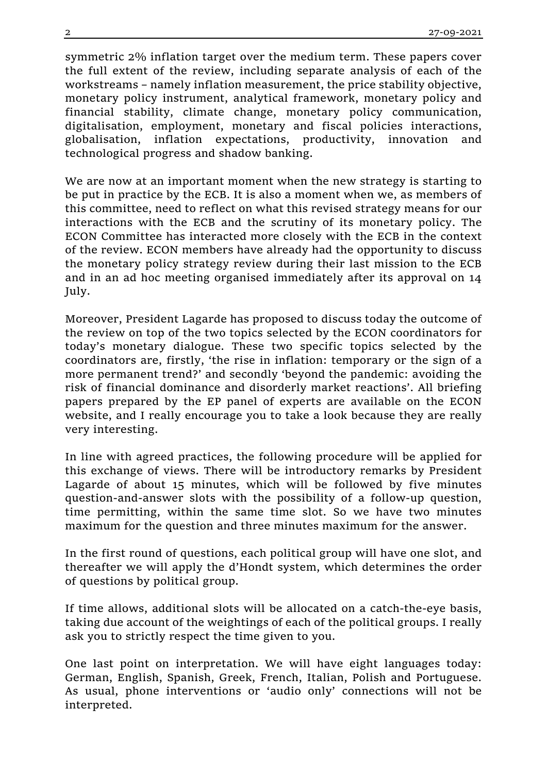symmetric 2% inflation target over the medium term. These papers cover the full extent of the review, including separate analysis of each of the workstreams – namely inflation measurement, the price stability objective, monetary policy instrument, analytical framework, monetary policy and financial stability, climate change, monetary policy communication, digitalisation, employment, monetary and fiscal policies interactions, globalisation, inflation expectations, productivity, innovation and technological progress and shadow banking.

We are now at an important moment when the new strategy is starting to be put in practice by the ECB. It is also a moment when we, as members of this committee, need to reflect on what this revised strategy means for our interactions with the ECB and the scrutiny of its monetary policy. The ECON Committee has interacted more closely with the ECB in the context of the review. ECON members have already had the opportunity to discuss the monetary policy strategy review during their last mission to the ECB and in an ad hoc meeting organised immediately after its approval on 14 July.

Moreover, President Lagarde has proposed to discuss today the outcome of the review on top of the two topics selected by the ECON coordinators for today's monetary dialogue. These two specific topics selected by the coordinators are, firstly, 'the rise in inflation: temporary or the sign of a more permanent trend?' and secondly 'beyond the pandemic: avoiding the risk of financial dominance and disorderly market reactions'. All briefing papers prepared by the EP panel of experts are available on the ECON website, and I really encourage you to take a look because they are really very interesting.

In line with agreed practices, the following procedure will be applied for this exchange of views. There will be introductory remarks by President Lagarde of about 15 minutes, which will be followed by five minutes question-and-answer slots with the possibility of a follow-up question, time permitting, within the same time slot. So we have two minutes maximum for the question and three minutes maximum for the answer.

In the first round of questions, each political group will have one slot, and thereafter we will apply the d'Hondt system, which determines the order of questions by political group.

If time allows, additional slots will be allocated on a catch-the-eye basis, taking due account of the weightings of each of the political groups. I really ask you to strictly respect the time given to you.

One last point on interpretation. We will have eight languages today: German, English, Spanish, Greek, French, Italian, Polish and Portuguese. As usual, phone interventions or 'audio only' connections will not be interpreted.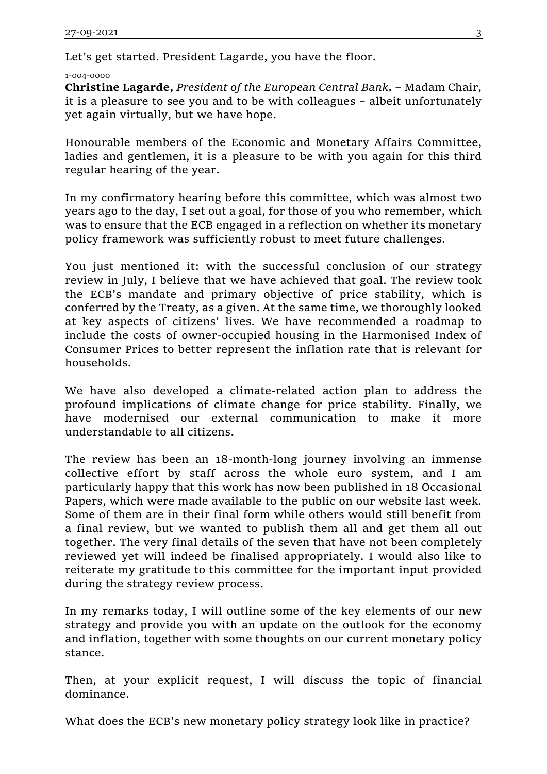Let's get started. President Lagarde, you have the floor.

#### 1-004-0000

**Christine Lagarde,** *President of the European Central Bank***.** – Madam Chair, it is a pleasure to see you and to be with colleagues – albeit unfortunately yet again virtually, but we have hope.

Honourable members of the Economic and Monetary Affairs Committee, ladies and gentlemen, it is a pleasure to be with you again for this third regular hearing of the year.

In my confirmatory hearing before this committee, which was almost two years ago to the day, I set out a goal, for those of you who remember, which was to ensure that the ECB engaged in a reflection on whether its monetary policy framework was sufficiently robust to meet future challenges.

You just mentioned it: with the successful conclusion of our strategy review in July, I believe that we have achieved that goal. The review took the ECB's mandate and primary objective of price stability, which is conferred by the Treaty, as a given. At the same time, we thoroughly looked at key aspects of citizens' lives. We have recommended a roadmap to include the costs of owner-occupied housing in the Harmonised Index of Consumer Prices to better represent the inflation rate that is relevant for households.

We have also developed a climate-related action plan to address the profound implications of climate change for price stability. Finally, we have modernised our external communication to make it more understandable to all citizens.

The review has been an 18-month-long journey involving an immense collective effort by staff across the whole euro system, and I am particularly happy that this work has now been published in 18 Occasional Papers, which were made available to the public on our website last week. Some of them are in their final form while others would still benefit from a final review, but we wanted to publish them all and get them all out together. The very final details of the seven that have not been completely reviewed yet will indeed be finalised appropriately. I would also like to reiterate my gratitude to this committee for the important input provided during the strategy review process.

In my remarks today, I will outline some of the key elements of our new strategy and provide you with an update on the outlook for the economy and inflation, together with some thoughts on our current monetary policy stance.

Then, at your explicit request, I will discuss the topic of financial dominance.

What does the ECB's new monetary policy strategy look like in practice?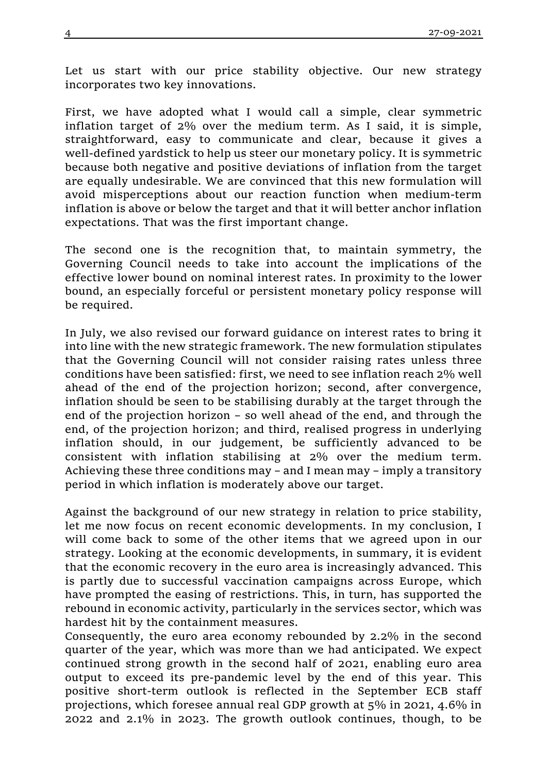Let us start with our price stability objective. Our new strategy incorporates two key innovations.

First, we have adopted what I would call a simple, clear symmetric inflation target of 2% over the medium term. As I said, it is simple, straightforward, easy to communicate and clear, because it gives a well-defined yardstick to help us steer our monetary policy. It is symmetric because both negative and positive deviations of inflation from the target are equally undesirable. We are convinced that this new formulation will avoid misperceptions about our reaction function when medium-term inflation is above or below the target and that it will better anchor inflation expectations. That was the first important change.

The second one is the recognition that, to maintain symmetry, the Governing Council needs to take into account the implications of the effective lower bound on nominal interest rates. In proximity to the lower bound, an especially forceful or persistent monetary policy response will be required.

In July, we also revised our forward guidance on interest rates to bring it into line with the new strategic framework. The new formulation stipulates that the Governing Council will not consider raising rates unless three conditions have been satisfied: first, we need to see inflation reach 2% well ahead of the end of the projection horizon; second, after convergence, inflation should be seen to be stabilising durably at the target through the end of the projection horizon – so well ahead of the end, and through the end, of the projection horizon; and third, realised progress in underlying inflation should, in our judgement, be sufficiently advanced to be consistent with inflation stabilising at 2% over the medium term. Achieving these three conditions may – and I mean may – imply a transitory period in which inflation is moderately above our target.

Against the background of our new strategy in relation to price stability, let me now focus on recent economic developments. In my conclusion, I will come back to some of the other items that we agreed upon in our strategy. Looking at the economic developments, in summary, it is evident that the economic recovery in the euro area is increasingly advanced. This is partly due to successful vaccination campaigns across Europe, which have prompted the easing of restrictions. This, in turn, has supported the rebound in economic activity, particularly in the services sector, which was hardest hit by the containment measures.

Consequently, the euro area economy rebounded by 2.2% in the second quarter of the year, which was more than we had anticipated. We expect continued strong growth in the second half of 2021, enabling euro area output to exceed its pre-pandemic level by the end of this year. This positive short-term outlook is reflected in the September ECB staff projections, which foresee annual real GDP growth at 5% in 2021, 4.6% in 2022 and 2.1% in 2023. The growth outlook continues, though, to be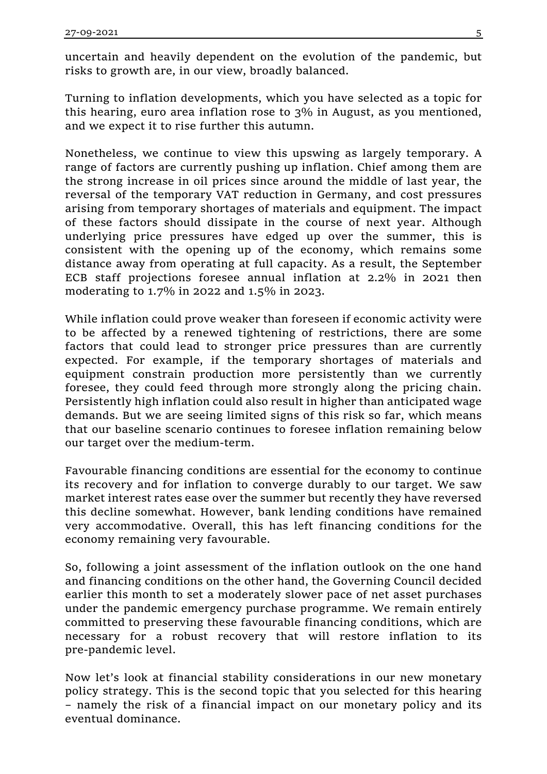uncertain and heavily dependent on the evolution of the pandemic, but risks to growth are, in our view, broadly balanced.

Turning to inflation developments, which you have selected as a topic for this hearing, euro area inflation rose to 3% in August, as you mentioned, and we expect it to rise further this autumn.

Nonetheless, we continue to view this upswing as largely temporary. A range of factors are currently pushing up inflation. Chief among them are the strong increase in oil prices since around the middle of last year, the reversal of the temporary VAT reduction in Germany, and cost pressures arising from temporary shortages of materials and equipment. The impact of these factors should dissipate in the course of next year. Although underlying price pressures have edged up over the summer, this is consistent with the opening up of the economy, which remains some distance away from operating at full capacity. As a result, the September ECB staff projections foresee annual inflation at 2.2% in 2021 then moderating to 1.7% in 2022 and 1.5% in 2023.

While inflation could prove weaker than foreseen if economic activity were to be affected by a renewed tightening of restrictions, there are some factors that could lead to stronger price pressures than are currently expected. For example, if the temporary shortages of materials and equipment constrain production more persistently than we currently foresee, they could feed through more strongly along the pricing chain. Persistently high inflation could also result in higher than anticipated wage demands. But we are seeing limited signs of this risk so far, which means that our baseline scenario continues to foresee inflation remaining below our target over the medium-term.

Favourable financing conditions are essential for the economy to continue its recovery and for inflation to converge durably to our target. We saw market interest rates ease over the summer but recently they have reversed this decline somewhat. However, bank lending conditions have remained very accommodative. Overall, this has left financing conditions for the economy remaining very favourable.

So, following a joint assessment of the inflation outlook on the one hand and financing conditions on the other hand, the Governing Council decided earlier this month to set a moderately slower pace of net asset purchases under the pandemic emergency purchase programme. We remain entirely committed to preserving these favourable financing conditions, which are necessary for a robust recovery that will restore inflation to its pre-pandemic level.

Now let's look at financial stability considerations in our new monetary policy strategy. This is the second topic that you selected for this hearing – namely the risk of a financial impact on our monetary policy and its eventual dominance.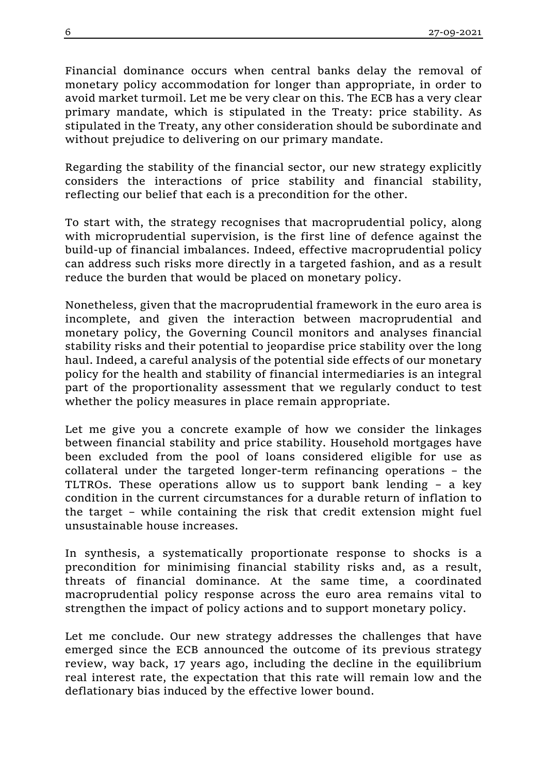Financial dominance occurs when central banks delay the removal of monetary policy accommodation for longer than appropriate, in order to avoid market turmoil. Let me be very clear on this. The ECB has a very clear primary mandate, which is stipulated in the Treaty: price stability. As stipulated in the Treaty, any other consideration should be subordinate and without prejudice to delivering on our primary mandate.

Regarding the stability of the financial sector, our new strategy explicitly considers the interactions of price stability and financial stability, reflecting our belief that each is a precondition for the other.

To start with, the strategy recognises that macroprudential policy, along with microprudential supervision, is the first line of defence against the build-up of financial imbalances. Indeed, effective macroprudential policy can address such risks more directly in a targeted fashion, and as a result reduce the burden that would be placed on monetary policy.

Nonetheless, given that the macroprudential framework in the euro area is incomplete, and given the interaction between macroprudential and monetary policy, the Governing Council monitors and analyses financial stability risks and their potential to jeopardise price stability over the long haul. Indeed, a careful analysis of the potential side effects of our monetary policy for the health and stability of financial intermediaries is an integral part of the proportionality assessment that we regularly conduct to test whether the policy measures in place remain appropriate.

Let me give you a concrete example of how we consider the linkages between financial stability and price stability. Household mortgages have been excluded from the pool of loans considered eligible for use as collateral under the targeted longer-term refinancing operations – the TLTROs. These operations allow us to support bank lending – a key condition in the current circumstances for a durable return of inflation to the target – while containing the risk that credit extension might fuel unsustainable house increases.

In synthesis, a systematically proportionate response to shocks is a precondition for minimising financial stability risks and, as a result, threats of financial dominance. At the same time, a coordinated macroprudential policy response across the euro area remains vital to strengthen the impact of policy actions and to support monetary policy.

Let me conclude. Our new strategy addresses the challenges that have emerged since the ECB announced the outcome of its previous strategy review, way back, 17 years ago, including the decline in the equilibrium real interest rate, the expectation that this rate will remain low and the deflationary bias induced by the effective lower bound.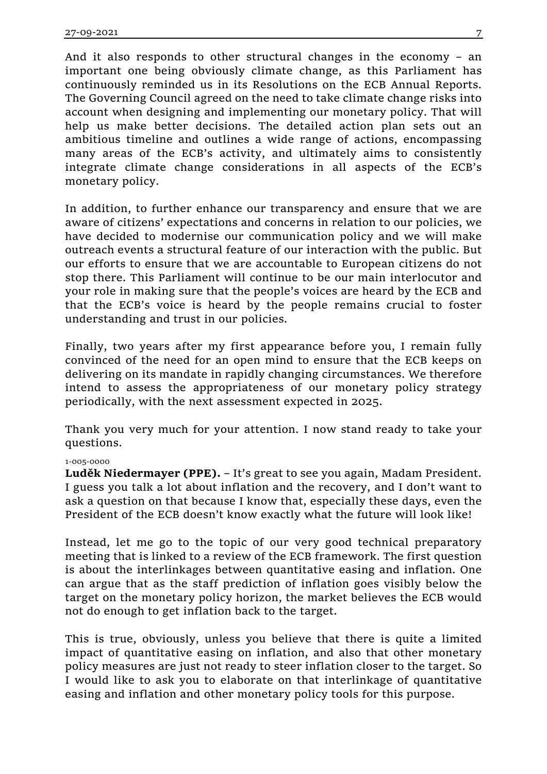And it also responds to other structural changes in the economy – an important one being obviously climate change, as this Parliament has continuously reminded us in its Resolutions on the ECB Annual Reports. The Governing Council agreed on the need to take climate change risks into account when designing and implementing our monetary policy. That will help us make better decisions. The detailed action plan sets out an ambitious timeline and outlines a wide range of actions, encompassing many areas of the ECB's activity, and ultimately aims to consistently integrate climate change considerations in all aspects of the ECB's monetary policy.

In addition, to further enhance our transparency and ensure that we are aware of citizens' expectations and concerns in relation to our policies, we have decided to modernise our communication policy and we will make outreach events a structural feature of our interaction with the public. But our efforts to ensure that we are accountable to European citizens do not stop there. This Parliament will continue to be our main interlocutor and your role in making sure that the people's voices are heard by the ECB and that the ECB's voice is heard by the people remains crucial to foster understanding and trust in our policies.

Finally, two years after my first appearance before you, I remain fully convinced of the need for an open mind to ensure that the ECB keeps on delivering on its mandate in rapidly changing circumstances. We therefore intend to assess the appropriateness of our monetary policy strategy periodically, with the next assessment expected in 2025.

Thank you very much for your attention. I now stand ready to take your questions.

## 1-005-0000

**Luděk Niedermayer (PPE).** – It's great to see you again, Madam President. I guess you talk a lot about inflation and the recovery, and I don't want to ask a question on that because I know that, especially these days, even the President of the ECB doesn't know exactly what the future will look like!

Instead, let me go to the topic of our very good technical preparatory meeting that is linked to a review of the ECB framework. The first question is about the interlinkages between quantitative easing and inflation. One can argue that as the staff prediction of inflation goes visibly below the target on the monetary policy horizon, the market believes the ECB would not do enough to get inflation back to the target.

This is true, obviously, unless you believe that there is quite a limited impact of quantitative easing on inflation, and also that other monetary policy measures are just not ready to steer inflation closer to the target. So I would like to ask you to elaborate on that interlinkage of quantitative easing and inflation and other monetary policy tools for this purpose.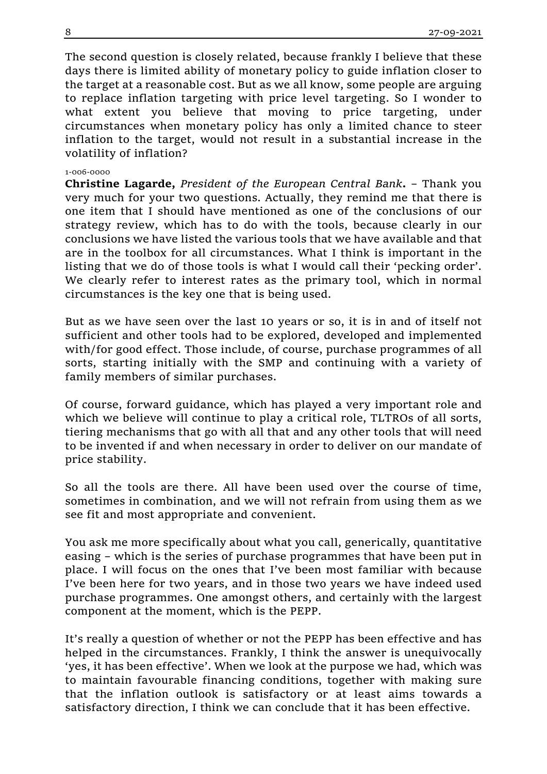The second question is closely related, because frankly I believe that these days there is limited ability of monetary policy to guide inflation closer to the target at a reasonable cost. But as we all know, some people are arguing to replace inflation targeting with price level targeting. So I wonder to what extent you believe that moving to price targeting, under circumstances when monetary policy has only a limited chance to steer inflation to the target, would not result in a substantial increase in the volatility of inflation?

#### 1-006-0000

**Christine Lagarde,** *President of the European Central Bank***.** – Thank you very much for your two questions. Actually, they remind me that there is one item that I should have mentioned as one of the conclusions of our strategy review, which has to do with the tools, because clearly in our conclusions we have listed the various tools that we have available and that are in the toolbox for all circumstances. What I think is important in the listing that we do of those tools is what I would call their 'pecking order'. We clearly refer to interest rates as the primary tool, which in normal circumstances is the key one that is being used.

But as we have seen over the last 10 years or so, it is in and of itself not sufficient and other tools had to be explored, developed and implemented with/for good effect. Those include, of course, purchase programmes of all sorts, starting initially with the SMP and continuing with a variety of family members of similar purchases.

Of course, forward guidance, which has played a very important role and which we believe will continue to play a critical role, TLTROs of all sorts, tiering mechanisms that go with all that and any other tools that will need to be invented if and when necessary in order to deliver on our mandate of price stability.

So all the tools are there. All have been used over the course of time, sometimes in combination, and we will not refrain from using them as we see fit and most appropriate and convenient.

You ask me more specifically about what you call, generically, quantitative easing – which is the series of purchase programmes that have been put in place. I will focus on the ones that I've been most familiar with because I've been here for two years, and in those two years we have indeed used purchase programmes. One amongst others, and certainly with the largest component at the moment, which is the PEPP.

It's really a question of whether or not the PEPP has been effective and has helped in the circumstances. Frankly, I think the answer is unequivocally 'yes, it has been effective'. When we look at the purpose we had, which was to maintain favourable financing conditions, together with making sure that the inflation outlook is satisfactory or at least aims towards a satisfactory direction, I think we can conclude that it has been effective.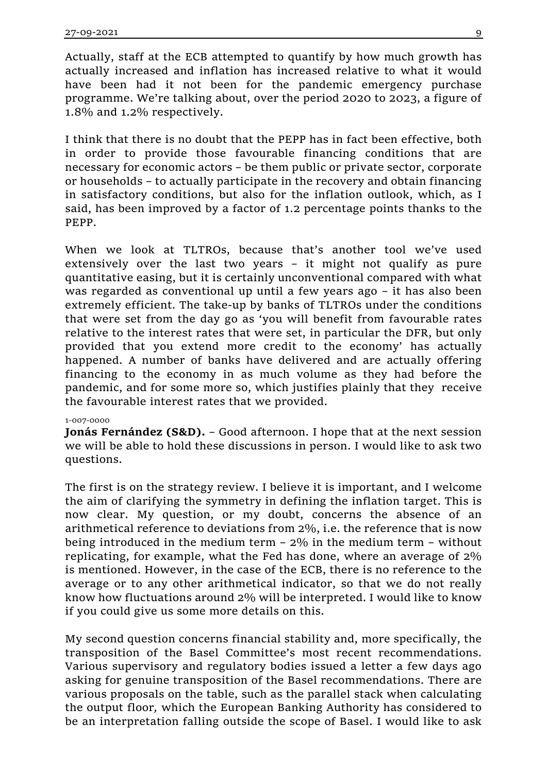Actually, staff at the ECB attempted to quantify by how much growth has actually increased and inflation has increased relative to what it would have been had it not been for the pandemic emergency purchase programme. We're talking about, over the period 2020 to 2023, a figure of 1.8% and 1.2% respectively.

I think that there is no doubt that the PEPP has in fact been effective, both in order to provide those favourable financing conditions that are necessary for economic actors – be them public or private sector, corporate or households – to actually participate in the recovery and obtain financing in satisfactory conditions, but also for the inflation outlook, which, as I said, has been improved by a factor of 1.2 percentage points thanks to the PEPP.

When we look at TLTROs, because that's another tool we've used extensively over the last two years – it might not qualify as pure quantitative easing, but it is certainly unconventional compared with what was regarded as conventional up until a few years ago – it has also been extremely efficient. The take-up by banks of TLTROs under the conditions that were set from the day go as 'you will benefit from favourable rates relative to the interest rates that were set, in particular the DFR, but only provided that you extend more credit to the economy' has actually happened. A number of banks have delivered and are actually offering financing to the economy in as much volume as they had before the pandemic, and for some more so, which justifies plainly that they receive the favourable interest rates that we provided.

### 1-007-0000

**Jonás Fernández (S&D).** – Good afternoon. I hope that at the next session we will be able to hold these discussions in person. I would like to ask two questions.

The first is on the strategy review. I believe it is important, and I welcome the aim of clarifying the symmetry in defining the inflation target. This is now clear. My question, or my doubt, concerns the absence of an arithmetical reference to deviations from 2%, i.e. the reference that is now being introduced in the medium term – 2% in the medium term – without replicating, for example, what the Fed has done, where an average of 2% is mentioned. However, in the case of the ECB, there is no reference to the average or to any other arithmetical indicator, so that we do not really know how fluctuations around 2% will be interpreted. I would like to know if you could give us some more details on this.

My second question concerns financial stability and, more specifically, the transposition of the Basel Committee's most recent recommendations. Various supervisory and regulatory bodies issued a letter a few days ago asking for genuine transposition of the Basel recommendations. There are various proposals on the table, such as the parallel stack when calculating the output floor*,* which the European Banking Authority has considered to be an interpretation falling outside the scope of Basel. I would like to ask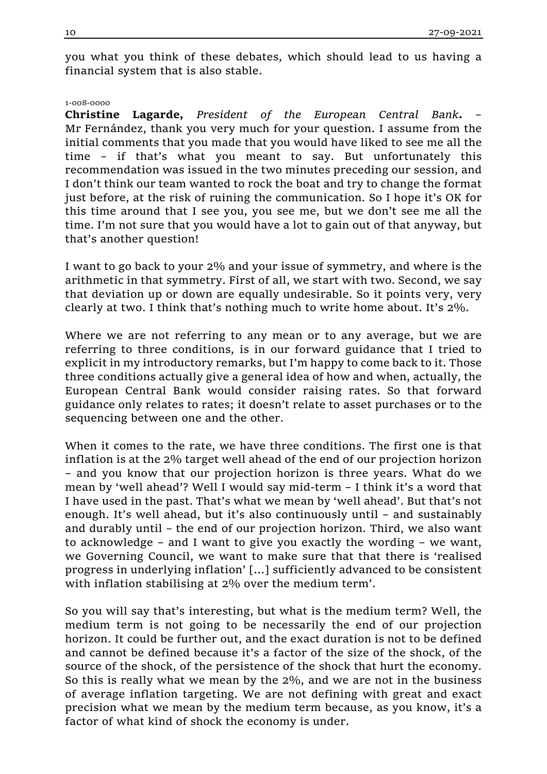you what you think of these debates, which should lead to us having a financial system that is also stable.

#### 1-008-0000

**Christine Lagarde,** *President of the European Central Bank***.** – Mr Fernández, thank you very much for your question. I assume from the initial comments that you made that you would have liked to see me all the time – if that's what you meant to say. But unfortunately this recommendation was issued in the two minutes preceding our session, and I don't think our team wanted to rock the boat and try to change the format just before, at the risk of ruining the communication. So I hope it's OK for this time around that I see you, you see me, but we don't see me all the time. I'm not sure that you would have a lot to gain out of that anyway, but that's another question!

I want to go back to your 2% and your issue of symmetry, and where is the arithmetic in that symmetry. First of all, we start with two. Second, we say that deviation up or down are equally undesirable. So it points very, very clearly at two. I think that's nothing much to write home about. It's 2%.

Where we are not referring to any mean or to any average, but we are referring to three conditions, is in our forward guidance that I tried to explicit in my introductory remarks, but I'm happy to come back to it. Those three conditions actually give a general idea of how and when, actually, the European Central Bank would consider raising rates. So that forward guidance only relates to rates; it doesn't relate to asset purchases or to the sequencing between one and the other.

When it comes to the rate, we have three conditions. The first one is that inflation is at the 2% target well ahead of the end of our projection horizon – and you know that our projection horizon is three years. What do we mean by 'well ahead'? Well I would say mid-term – I think it's a word that I have used in the past. That's what we mean by 'well ahead'. But that's not enough. It's well ahead, but it's also continuously until – and sustainably and durably until – the end of our projection horizon. Third, we also want to acknowledge – and I want to give you exactly the wording – we want, we Governing Council, we want to make sure that that there is 'realised progress in underlying inflation' [...] sufficiently advanced to be consistent with inflation stabilising at 2% over the medium term'.

So you will say that's interesting, but what is the medium term? Well, the medium term is not going to be necessarily the end of our projection horizon. It could be further out, and the exact duration is not to be defined and cannot be defined because it's a factor of the size of the shock, of the source of the shock, of the persistence of the shock that hurt the economy. So this is really what we mean by the 2%, and we are not in the business of average inflation targeting. We are not defining with great and exact precision what we mean by the medium term because, as you know, it's a factor of what kind of shock the economy is under.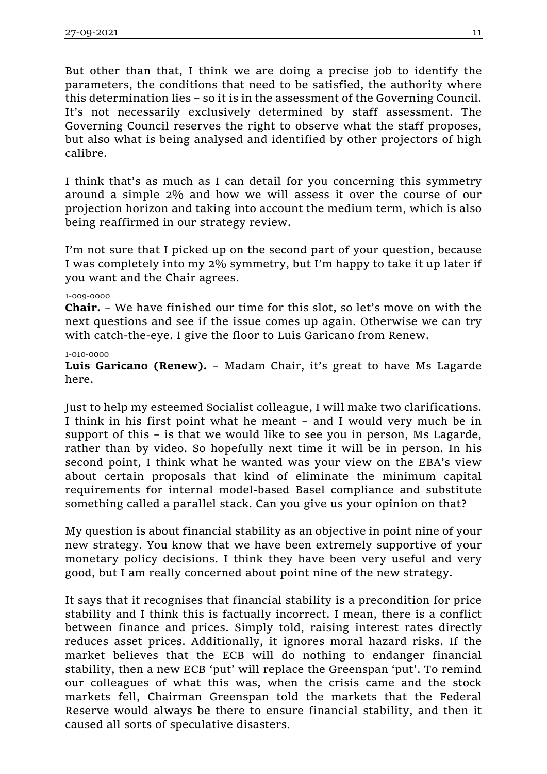But other than that, I think we are doing a precise job to identify the parameters, the conditions that need to be satisfied, the authority where this determination lies – so it is in the assessment of the Governing Council. It's not necessarily exclusively determined by staff assessment. The Governing Council reserves the right to observe what the staff proposes, but also what is being analysed and identified by other projectors of high calibre.

I think that's as much as I can detail for you concerning this symmetry around a simple 2% and how we will assess it over the course of our projection horizon and taking into account the medium term, which is also being reaffirmed in our strategy review.

I'm not sure that I picked up on the second part of your question, because I was completely into my 2% symmetry, but I'm happy to take it up later if you want and the Chair agrees.

## 1-009-0000

**Chair.** – We have finished our time for this slot, so let's move on with the next questions and see if the issue comes up again. Otherwise we can try with catch-the-eye. I give the floor to Luis Garicano from Renew.

# 1-010-0000

**Luis Garicano (Renew).** – Madam Chair, it's great to have Ms Lagarde here.

Just to help my esteemed Socialist colleague, I will make two clarifications. I think in his first point what he meant – and I would very much be in support of this – is that we would like to see you in person, Ms Lagarde, rather than by video. So hopefully next time it will be in person. In his second point, I think what he wanted was your view on the EBA's view about certain proposals that kind of eliminate the minimum capital requirements for internal model-based Basel compliance and substitute something called a parallel stack. Can you give us your opinion on that?

My question is about financial stability as an objective in point nine of your new strategy. You know that we have been extremely supportive of your monetary policy decisions. I think they have been very useful and very good, but I am really concerned about point nine of the new strategy.

It says that it recognises that financial stability is a precondition for price stability and I think this is factually incorrect. I mean, there is a conflict between finance and prices. Simply told, raising interest rates directly reduces asset prices. Additionally, it ignores moral hazard risks. If the market believes that the ECB will do nothing to endanger financial stability, then a new ECB 'put' will replace the Greenspan 'put'. To remind our colleagues of what this was, when the crisis came and the stock markets fell, Chairman Greenspan told the markets that the Federal Reserve would always be there to ensure financial stability, and then it caused all sorts of speculative disasters.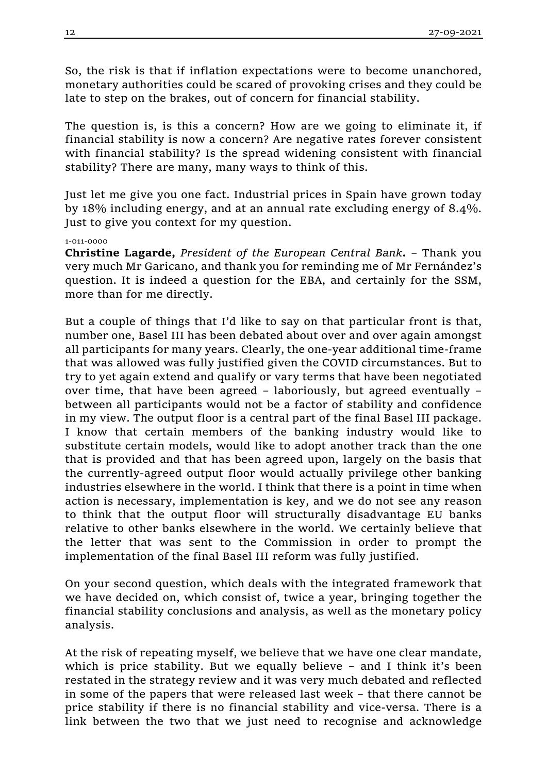So, the risk is that if inflation expectations were to become unanchored, monetary authorities could be scared of provoking crises and they could be late to step on the brakes, out of concern for financial stability.

The question is, is this a concern? How are we going to eliminate it, if financial stability is now a concern? Are negative rates forever consistent with financial stability? Is the spread widening consistent with financial stability? There are many, many ways to think of this.

Just let me give you one fact. Industrial prices in Spain have grown today by 18% including energy, and at an annual rate excluding energy of 8.4%. Just to give you context for my question.

## 1-011-0000

**Christine Lagarde,** *President of the European Central Bank***.** – Thank you very much Mr Garicano, and thank you for reminding me of Mr Fernández's question. It is indeed a question for the EBA, and certainly for the SSM, more than for me directly.

But a couple of things that I'd like to say on that particular front is that, number one, Basel III has been debated about over and over again amongst all participants for many years. Clearly, the one-year additional time-frame that was allowed was fully justified given the COVID circumstances. But to try to yet again extend and qualify or vary terms that have been negotiated over time, that have been agreed – laboriously, but agreed eventually – between all participants would not be a factor of stability and confidence in my view. The output floor is a central part of the final Basel III package. I know that certain members of the banking industry would like to substitute certain models, would like to adopt another track than the one that is provided and that has been agreed upon, largely on the basis that the currently-agreed output floor would actually privilege other banking industries elsewhere in the world. I think that there is a point in time when action is necessary, implementation is key, and we do not see any reason to think that the output floor will structurally disadvantage EU banks relative to other banks elsewhere in the world. We certainly believe that the letter that was sent to the Commission in order to prompt the implementation of the final Basel III reform was fully justified.

On your second question, which deals with the integrated framework that we have decided on, which consist of, twice a year, bringing together the financial stability conclusions and analysis, as well as the monetary policy analysis.

At the risk of repeating myself, we believe that we have one clear mandate, which is price stability. But we equally believe – and I think it's been restated in the strategy review and it was very much debated and reflected in some of the papers that were released last week – that there cannot be price stability if there is no financial stability and vice-versa. There is a link between the two that we just need to recognise and acknowledge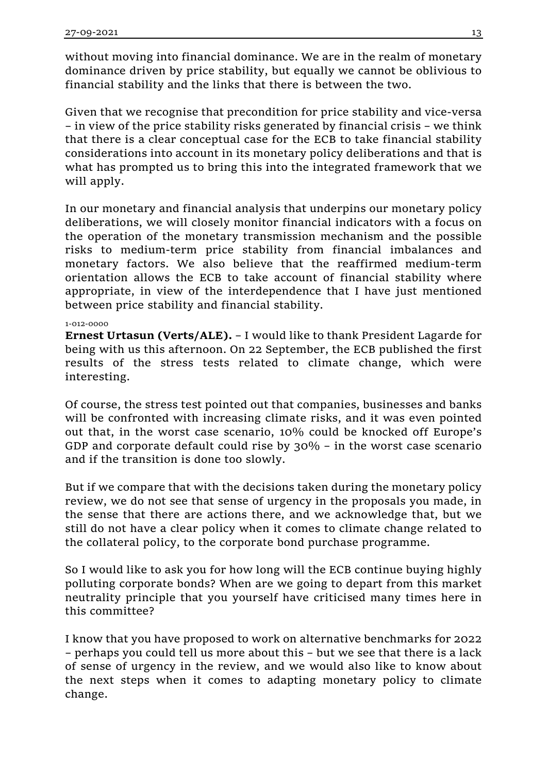without moving into financial dominance. We are in the realm of monetary dominance driven by price stability, but equally we cannot be oblivious to financial stability and the links that there is between the two.

Given that we recognise that precondition for price stability and vice-versa – in view of the price stability risks generated by financial crisis – we think that there is a clear conceptual case for the ECB to take financial stability considerations into account in its monetary policy deliberations and that is what has prompted us to bring this into the integrated framework that we will apply.

In our monetary and financial analysis that underpins our monetary policy deliberations, we will closely monitor financial indicators with a focus on the operation of the monetary transmission mechanism and the possible risks to medium-term price stability from financial imbalances and monetary factors. We also believe that the reaffirmed medium-term orientation allows the ECB to take account of financial stability where appropriate, in view of the interdependence that I have just mentioned between price stability and financial stability.

# 1-012-0000

**Ernest Urtasun (Verts/ALE).** – I would like to thank President Lagarde for being with us this afternoon. On 22 September, the ECB published the first results of the stress tests related to climate change, which were interesting.

Of course, the stress test pointed out that companies, businesses and banks will be confronted with increasing climate risks, and it was even pointed out that, in the worst case scenario, 10% could be knocked off Europe's GDP and corporate default could rise by 30% – in the worst case scenario and if the transition is done too slowly.

But if we compare that with the decisions taken during the monetary policy review, we do not see that sense of urgency in the proposals you made, in the sense that there are actions there, and we acknowledge that, but we still do not have a clear policy when it comes to climate change related to the collateral policy, to the corporate bond purchase programme.

So I would like to ask you for how long will the ECB continue buying highly polluting corporate bonds? When are we going to depart from this market neutrality principle that you yourself have criticised many times here in this committee?

I know that you have proposed to work on alternative benchmarks for 2022 – perhaps you could tell us more about this – but we see that there is a lack of sense of urgency in the review, and we would also like to know about the next steps when it comes to adapting monetary policy to climate change.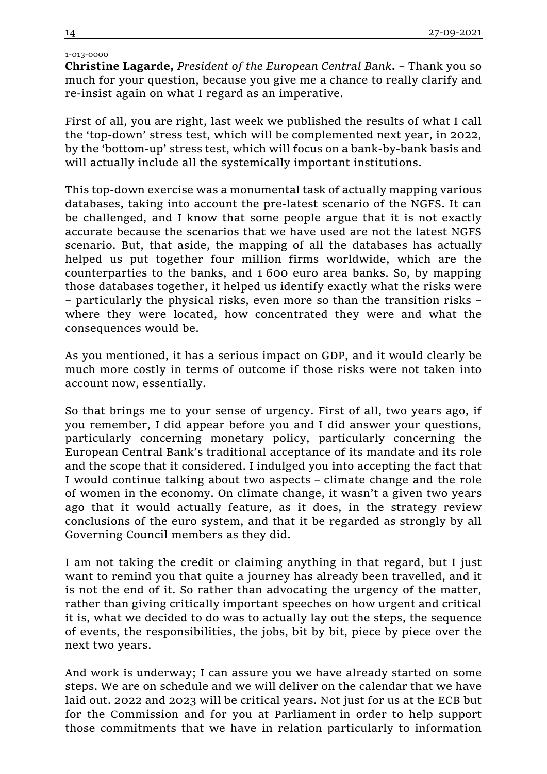## 1-013-0000

**Christine Lagarde,** *President of the European Central Bank***.** – Thank you so much for your question, because you give me a chance to really clarify and re-insist again on what I regard as an imperative.

First of all, you are right, last week we published the results of what I call the 'top-down' stress test, which will be complemented next year, in 2022, by the 'bottom-up' stress test, which will focus on a bank-by-bank basis and will actually include all the systemically important institutions.

This top-down exercise was a monumental task of actually mapping various databases, taking into account the pre-latest scenario of the NGFS. It can be challenged, and I know that some people argue that it is not exactly accurate because the scenarios that we have used are not the latest NGFS scenario. But, that aside, the mapping of all the databases has actually helped us put together four million firms worldwide, which are the counterparties to the banks, and 1 600 euro area banks. So, by mapping those databases together, it helped us identify exactly what the risks were – particularly the physical risks, even more so than the transition risks – where they were located, how concentrated they were and what the consequences would be.

As you mentioned, it has a serious impact on GDP, and it would clearly be much more costly in terms of outcome if those risks were not taken into account now, essentially.

So that brings me to your sense of urgency. First of all, two years ago, if you remember, I did appear before you and I did answer your questions, particularly concerning monetary policy, particularly concerning the European Central Bank's traditional acceptance of its mandate and its role and the scope that it considered. I indulged you into accepting the fact that I would continue talking about two aspects – climate change and the role of women in the economy. On climate change, it wasn't a given two years ago that it would actually feature, as it does, in the strategy review conclusions of the euro system, and that it be regarded as strongly by all Governing Council members as they did.

I am not taking the credit or claiming anything in that regard, but I just want to remind you that quite a journey has already been travelled, and it is not the end of it. So rather than advocating the urgency of the matter, rather than giving critically important speeches on how urgent and critical it is, what we decided to do was to actually lay out the steps, the sequence of events, the responsibilities, the jobs, bit by bit, piece by piece over the next two years.

And work is underway; I can assure you we have already started on some steps. We are on schedule and we will deliver on the calendar that we have laid out. 2022 and 2023 will be critical years. Not just for us at the ECB but for the Commission and for you at Parliament in order to help support those commitments that we have in relation particularly to information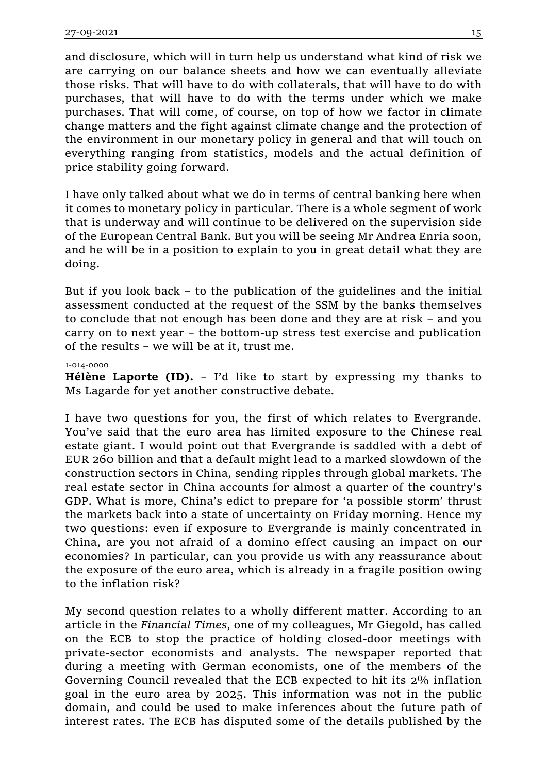and disclosure, which will in turn help us understand what kind of risk we are carrying on our balance sheets and how we can eventually alleviate those risks. That will have to do with collaterals, that will have to do with purchases, that will have to do with the terms under which we make purchases. That will come, of course, on top of how we factor in climate change matters and the fight against climate change and the protection of the environment in our monetary policy in general and that will touch on everything ranging from statistics, models and the actual definition of price stability going forward.

I have only talked about what we do in terms of central banking here when it comes to monetary policy in particular. There is a whole segment of work that is underway and will continue to be delivered on the supervision side of the European Central Bank. But you will be seeing Mr Andrea Enria soon, and he will be in a position to explain to you in great detail what they are doing.

But if you look back – to the publication of the guidelines and the initial assessment conducted at the request of the SSM by the banks themselves to conclude that not enough has been done and they are at risk – and you carry on to next year – the bottom-up stress test exercise and publication of the results – we will be at it, trust me.

## 1-014-0000

**Hélène Laporte (ID).** – I'd like to start by expressing my thanks to Ms Lagarde for yet another constructive debate.

I have two questions for you, the first of which relates to Evergrande. You've said that the euro area has limited exposure to the Chinese real estate giant. I would point out that Evergrande is saddled with a debt of EUR 260 billion and that a default might lead to a marked slowdown of the construction sectors in China, sending ripples through global markets. The real estate sector in China accounts for almost a quarter of the country's GDP. What is more, China's edict to prepare for 'a possible storm' thrust the markets back into a state of uncertainty on Friday morning. Hence my two questions: even if exposure to Evergrande is mainly concentrated in China, are you not afraid of a domino effect causing an impact on our economies? In particular, can you provide us with any reassurance about the exposure of the euro area, which is already in a fragile position owing to the inflation risk?

My second question relates to a wholly different matter. According to an article in the *Financial Times*, one of my colleagues, Mr Giegold, has called on the ECB to stop the practice of holding closed-door meetings with private-sector economists and analysts. The newspaper reported that during a meeting with German economists, one of the members of the Governing Council revealed that the ECB expected to hit its 2% inflation goal in the euro area by 2025. This information was not in the public domain, and could be used to make inferences about the future path of interest rates. The ECB has disputed some of the details published by the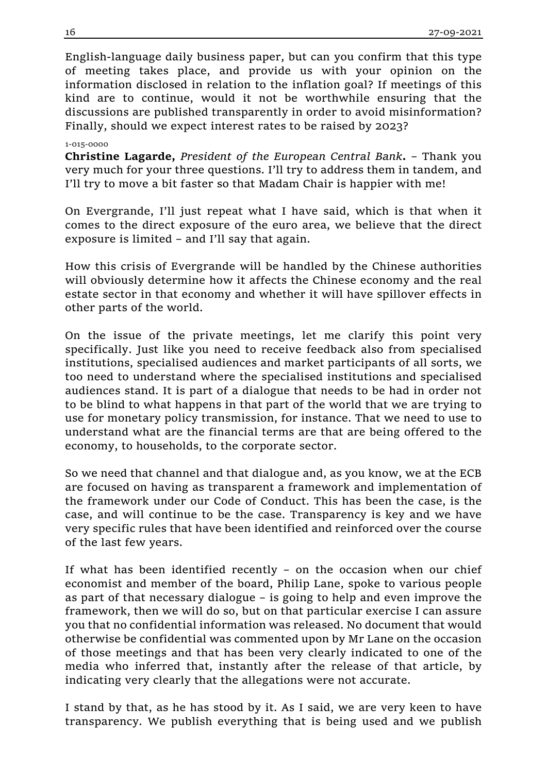English-language daily business paper, but can you confirm that this type of meeting takes place, and provide us with your opinion on the information disclosed in relation to the inflation goal? If meetings of this kind are to continue, would it not be worthwhile ensuring that the discussions are published transparently in order to avoid misinformation? Finally, should we expect interest rates to be raised by 2023?

## 1-015-0000

**Christine Lagarde,** *President of the European Central Bank***.** – Thank you very much for your three questions. I'll try to address them in tandem, and I'll try to move a bit faster so that Madam Chair is happier with me!

On Evergrande, I'll just repeat what I have said, which is that when it comes to the direct exposure of the euro area, we believe that the direct exposure is limited – and I'll say that again.

How this crisis of Evergrande will be handled by the Chinese authorities will obviously determine how it affects the Chinese economy and the real estate sector in that economy and whether it will have spillover effects in other parts of the world.

On the issue of the private meetings, let me clarify this point very specifically. Just like you need to receive feedback also from specialised institutions, specialised audiences and market participants of all sorts, we too need to understand where the specialised institutions and specialised audiences stand. It is part of a dialogue that needs to be had in order not to be blind to what happens in that part of the world that we are trying to use for monetary policy transmission, for instance. That we need to use to understand what are the financial terms are that are being offered to the economy, to households, to the corporate sector.

So we need that channel and that dialogue and, as you know, we at the ECB are focused on having as transparent a framework and implementation of the framework under our Code of Conduct. This has been the case, is the case, and will continue to be the case. Transparency is key and we have very specific rules that have been identified and reinforced over the course of the last few years.

If what has been identified recently – on the occasion when our chief economist and member of the board, Philip Lane, spoke to various people as part of that necessary dialogue – is going to help and even improve the framework, then we will do so, but on that particular exercise I can assure you that no confidential information was released. No document that would otherwise be confidential was commented upon by Mr Lane on the occasion of those meetings and that has been very clearly indicated to one of the media who inferred that, instantly after the release of that article, by indicating very clearly that the allegations were not accurate.

I stand by that, as he has stood by it. As I said, we are very keen to have transparency. We publish everything that is being used and we publish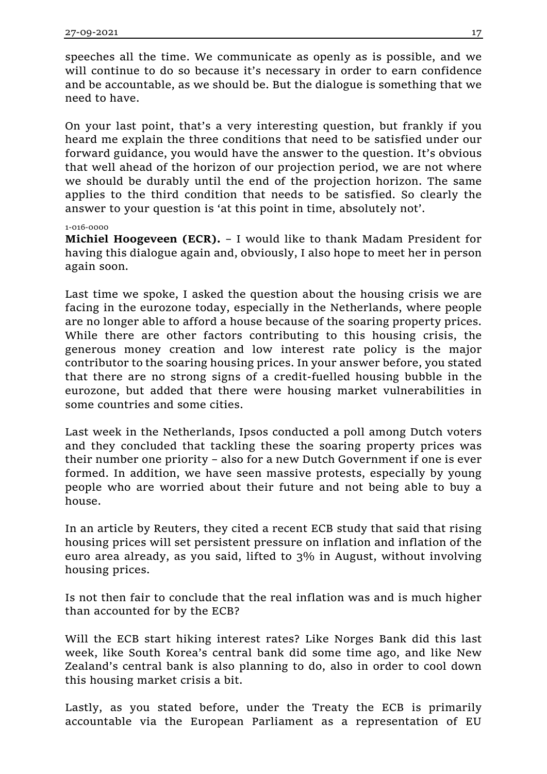speeches all the time. We communicate as openly as is possible, and we will continue to do so because it's necessary in order to earn confidence and be accountable, as we should be. But the dialogue is something that we need to have.

On your last point, that's a very interesting question, but frankly if you heard me explain the three conditions that need to be satisfied under our forward guidance, you would have the answer to the question. It's obvious that well ahead of the horizon of our projection period, we are not where we should be durably until the end of the projection horizon. The same applies to the third condition that needs to be satisfied. So clearly the answer to your question is 'at this point in time, absolutely not'.

# 1-016-0000

**Michiel Hoogeveen (ECR).** – I would like to thank Madam President for having this dialogue again and, obviously, I also hope to meet her in person again soon.

Last time we spoke, I asked the question about the housing crisis we are facing in the eurozone today, especially in the Netherlands, where people are no longer able to afford a house because of the soaring property prices. While there are other factors contributing to this housing crisis, the generous money creation and low interest rate policy is the major contributor to the soaring housing prices. In your answer before, you stated that there are no strong signs of a credit-fuelled housing bubble in the eurozone, but added that there were housing market vulnerabilities in some countries and some cities.

Last week in the Netherlands, Ipsos conducted a poll among Dutch voters and they concluded that tackling these the soaring property prices was their number one priority – also for a new Dutch Government if one is ever formed. In addition, we have seen massive protests, especially by young people who are worried about their future and not being able to buy a house.

In an article by Reuters, they cited a recent ECB study that said that rising housing prices will set persistent pressure on inflation and inflation of the euro area already, as you said, lifted to 3% in August, without involving housing prices.

Is not then fair to conclude that the real inflation was and is much higher than accounted for by the ECB?

Will the ECB start hiking interest rates? Like Norges Bank did this last week, like South Korea's central bank did some time ago, and like New Zealand's central bank is also planning to do, also in order to cool down this housing market crisis a bit.

Lastly, as you stated before, under the Treaty the ECB is primarily accountable via the European Parliament as a representation of EU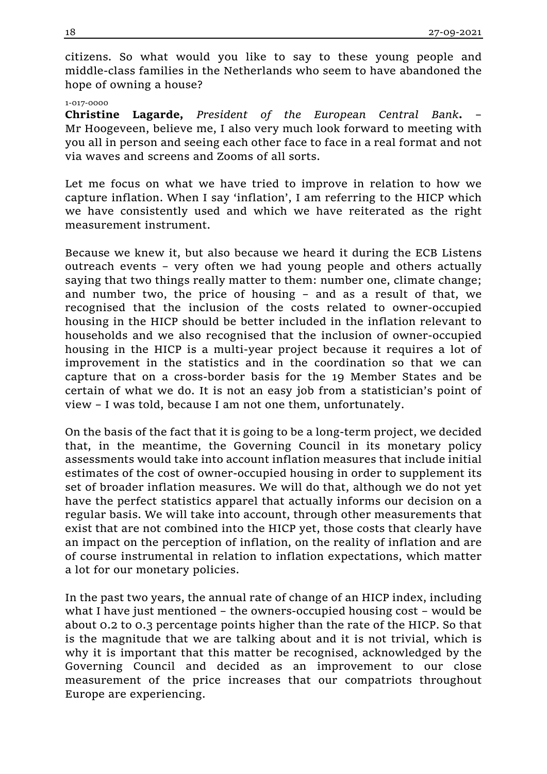citizens. So what would you like to say to these young people and middle-class families in the Netherlands who seem to have abandoned the hope of owning a house?

#### 1-017-0000

**Christine Lagarde,** *President of the European Central Bank***.** – Mr Hoogeveen, believe me, I also very much look forward to meeting with you all in person and seeing each other face to face in a real format and not via waves and screens and Zooms of all sorts.

Let me focus on what we have tried to improve in relation to how we capture inflation. When I say 'inflation', I am referring to the HICP which we have consistently used and which we have reiterated as the right measurement instrument.

Because we knew it, but also because we heard it during the ECB Listens outreach events – very often we had young people and others actually saying that two things really matter to them: number one, climate change; and number two, the price of housing – and as a result of that, we recognised that the inclusion of the costs related to owner-occupied housing in the HICP should be better included in the inflation relevant to households and we also recognised that the inclusion of owner-occupied housing in the HICP is a multi-year project because it requires a lot of improvement in the statistics and in the coordination so that we can capture that on a cross-border basis for the 19 Member States and be certain of what we do. It is not an easy job from a statistician's point of view – I was told, because I am not one them, unfortunately.

On the basis of the fact that it is going to be a long-term project, we decided that, in the meantime, the Governing Council in its monetary policy assessments would take into account inflation measures that include initial estimates of the cost of owner-occupied housing in order to supplement its set of broader inflation measures. We will do that, although we do not yet have the perfect statistics apparel that actually informs our decision on a regular basis. We will take into account, through other measurements that exist that are not combined into the HICP yet, those costs that clearly have an impact on the perception of inflation, on the reality of inflation and are of course instrumental in relation to inflation expectations, which matter a lot for our monetary policies.

In the past two years, the annual rate of change of an HICP index, including what I have just mentioned – the owners-occupied housing cost – would be about 0.2 to 0.3 percentage points higher than the rate of the HICP. So that is the magnitude that we are talking about and it is not trivial, which is why it is important that this matter be recognised, acknowledged by the Governing Council and decided as an improvement to our close measurement of the price increases that our compatriots throughout Europe are experiencing.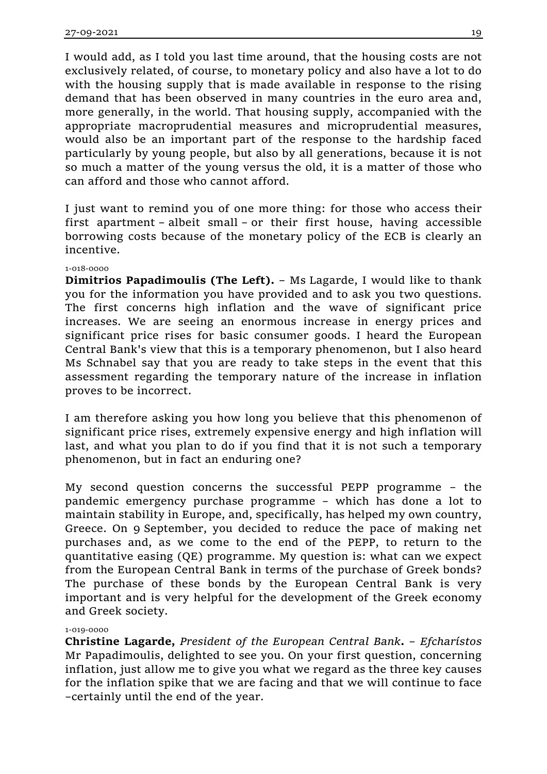I would add, as I told you last time around, that the housing costs are not exclusively related, of course, to monetary policy and also have a lot to do with the housing supply that is made available in response to the rising demand that has been observed in many countries in the euro area and, more generally, in the world. That housing supply, accompanied with the appropriate macroprudential measures and microprudential measures, would also be an important part of the response to the hardship faced particularly by young people, but also by all generations, because it is not so much a matter of the young versus the old, it is a matter of those who can afford and those who cannot afford.

I just want to remind you of one more thing: for those who access their first apartment – albeit small – or their first house, having accessible borrowing costs because of the monetary policy of the ECB is clearly an incentive.

# 1-018-0000

**Dimitrios Papadimoulis (The Left).** – Ms Lagarde, I would like to thank you for the information you have provided and to ask you two questions. The first concerns high inflation and the wave of significant price increases. We are seeing an enormous increase in energy prices and significant price rises for basic consumer goods. I heard the European Central Bank's view that this is a temporary phenomenon, but I also heard Ms Schnabel say that you are ready to take steps in the event that this assessment regarding the temporary nature of the increase in inflation proves to be incorrect.

I am therefore asking you how long you believe that this phenomenon of significant price rises, extremely expensive energy and high inflation will last, and what you plan to do if you find that it is not such a temporary phenomenon, but in fact an enduring one?

My second question concerns the successful PEPP programme – the pandemic emergency purchase programme – which has done a lot to maintain stability in Europe, and, specifically, has helped my own country, Greece. On 9 September, you decided to reduce the pace of making net purchases and, as we come to the end of the PEPP, to return to the quantitative easing (QE) programme. My question is: what can we expect from the European Central Bank in terms of the purchase of Greek bonds? The purchase of these bonds by the European Central Bank is very important and is very helpful for the development of the Greek economy and Greek society.

## 1-019-0000

**Christine Lagarde,** *President of the European Central Bank***.** – *Efcharístos* Mr Papadimoulis, delighted to see you. On your first question, concerning inflation, just allow me to give you what we regard as the three key causes for the inflation spike that we are facing and that we will continue to face –certainly until the end of the year.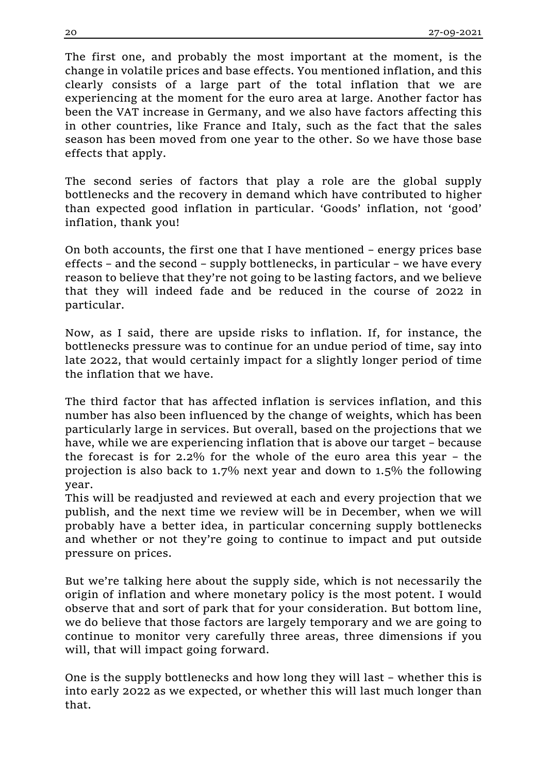The first one, and probably the most important at the moment, is the change in volatile prices and base effects. You mentioned inflation, and this clearly consists of a large part of the total inflation that we are experiencing at the moment for the euro area at large. Another factor has been the VAT increase in Germany, and we also have factors affecting this in other countries, like France and Italy, such as the fact that the sales season has been moved from one year to the other. So we have those base effects that apply.

The second series of factors that play a role are the global supply bottlenecks and the recovery in demand which have contributed to higher than expected good inflation in particular. 'Goods' inflation, not 'good' inflation, thank you!

On both accounts, the first one that I have mentioned – energy prices base effects – and the second – supply bottlenecks, in particular – we have every reason to believe that they're not going to be lasting factors, and we believe that they will indeed fade and be reduced in the course of 2022 in particular.

Now, as I said, there are upside risks to inflation. If, for instance, the bottlenecks pressure was to continue for an undue period of time, say into late 2022, that would certainly impact for a slightly longer period of time the inflation that we have.

The third factor that has affected inflation is services inflation, and this number has also been influenced by the change of weights, which has been particularly large in services. But overall, based on the projections that we have, while we are experiencing inflation that is above our target – because the forecast is for 2.2% for the whole of the euro area this year – the projection is also back to 1.7% next year and down to 1.5% the following year.

This will be readjusted and reviewed at each and every projection that we publish, and the next time we review will be in December, when we will probably have a better idea, in particular concerning supply bottlenecks and whether or not they're going to continue to impact and put outside pressure on prices.

But we're talking here about the supply side, which is not necessarily the origin of inflation and where monetary policy is the most potent. I would observe that and sort of park that for your consideration. But bottom line, we do believe that those factors are largely temporary and we are going to continue to monitor very carefully three areas, three dimensions if you will, that will impact going forward.

One is the supply bottlenecks and how long they will last – whether this is into early 2022 as we expected, or whether this will last much longer than that.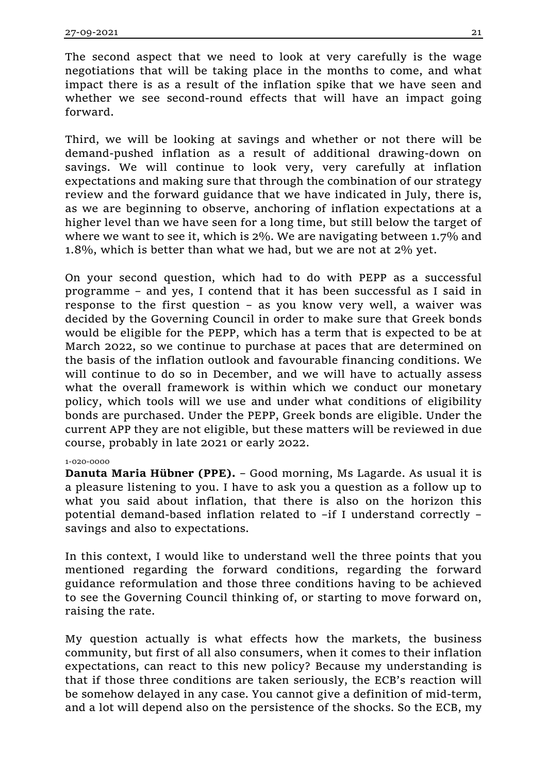The second aspect that we need to look at very carefully is the wage negotiations that will be taking place in the months to come, and what impact there is as a result of the inflation spike that we have seen and whether we see second-round effects that will have an impact going forward.

Third, we will be looking at savings and whether or not there will be demand-pushed inflation as a result of additional drawing-down on savings. We will continue to look very, very carefully at inflation expectations and making sure that through the combination of our strategy review and the forward guidance that we have indicated in July, there is, as we are beginning to observe, anchoring of inflation expectations at a higher level than we have seen for a long time, but still below the target of where we want to see it, which is 2%. We are navigating between 1.7% and 1.8%, which is better than what we had, but we are not at 2% yet.

On your second question, which had to do with PEPP as a successful programme – and yes, I contend that it has been successful as I said in response to the first question – as you know very well, a waiver was decided by the Governing Council in order to make sure that Greek bonds would be eligible for the PEPP, which has a term that is expected to be at March 2022, so we continue to purchase at paces that are determined on the basis of the inflation outlook and favourable financing conditions. We will continue to do so in December, and we will have to actually assess what the overall framework is within which we conduct our monetary policy, which tools will we use and under what conditions of eligibility bonds are purchased. Under the PEPP, Greek bonds are eligible. Under the current APP they are not eligible, but these matters will be reviewed in due course, probably in late 2021 or early 2022.

## 1-020-0000

**Danuta Maria Hübner (PPE).** – Good morning, Ms Lagarde. As usual it is a pleasure listening to you. I have to ask you a question as a follow up to what you said about inflation, that there is also on the horizon this potential demand-based inflation related to –if I understand correctly – savings and also to expectations.

In this context, I would like to understand well the three points that you mentioned regarding the forward conditions, regarding the forward guidance reformulation and those three conditions having to be achieved to see the Governing Council thinking of, or starting to move forward on, raising the rate.

My question actually is what effects how the markets, the business community, but first of all also consumers, when it comes to their inflation expectations, can react to this new policy? Because my understanding is that if those three conditions are taken seriously, the ECB's reaction will be somehow delayed in any case. You cannot give a definition of mid-term, and a lot will depend also on the persistence of the shocks. So the ECB, my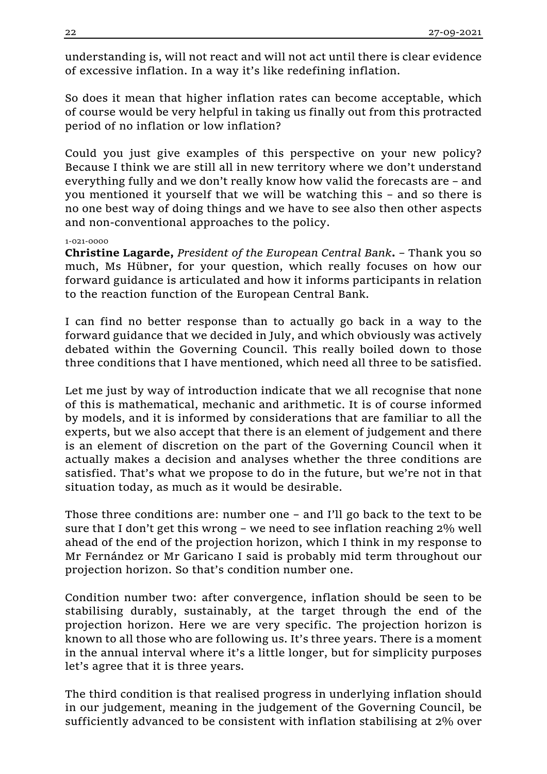understanding is, will not react and will not act until there is clear evidence of excessive inflation. In a way it's like redefining inflation.

So does it mean that higher inflation rates can become acceptable, which of course would be very helpful in taking us finally out from this protracted period of no inflation or low inflation?

Could you just give examples of this perspective on your new policy? Because I think we are still all in new territory where we don't understand everything fully and we don't really know how valid the forecasts are – and you mentioned it yourself that we will be watching this – and so there is no one best way of doing things and we have to see also then other aspects and non-conventional approaches to the policy.

# 1-021-0000

**Christine Lagarde,** *President of the European Central Bank***.** – Thank you so much, Ms Hübner, for your question, which really focuses on how our forward guidance is articulated and how it informs participants in relation to the reaction function of the European Central Bank.

I can find no better response than to actually go back in a way to the forward guidance that we decided in July, and which obviously was actively debated within the Governing Council. This really boiled down to those three conditions that I have mentioned, which need all three to be satisfied.

Let me just by way of introduction indicate that we all recognise that none of this is mathematical, mechanic and arithmetic. It is of course informed by models, and it is informed by considerations that are familiar to all the experts, but we also accept that there is an element of judgement and there is an element of discretion on the part of the Governing Council when it actually makes a decision and analyses whether the three conditions are satisfied. That's what we propose to do in the future, but we're not in that situation today, as much as it would be desirable.

Those three conditions are: number one – and I'll go back to the text to be sure that I don't get this wrong  $-$  we need to see inflation reaching  $2\%$  well ahead of the end of the projection horizon, which I think in my response to Mr Fernández or Mr Garicano I said is probably mid term throughout our projection horizon. So that's condition number one.

Condition number two: after convergence, inflation should be seen to be stabilising durably, sustainably, at the target through the end of the projection horizon. Here we are very specific. The projection horizon is known to all those who are following us. It's three years. There is a moment in the annual interval where it's a little longer, but for simplicity purposes let's agree that it is three years.

The third condition is that realised progress in underlying inflation should in our judgement, meaning in the judgement of the Governing Council, be sufficiently advanced to be consistent with inflation stabilising at 2% over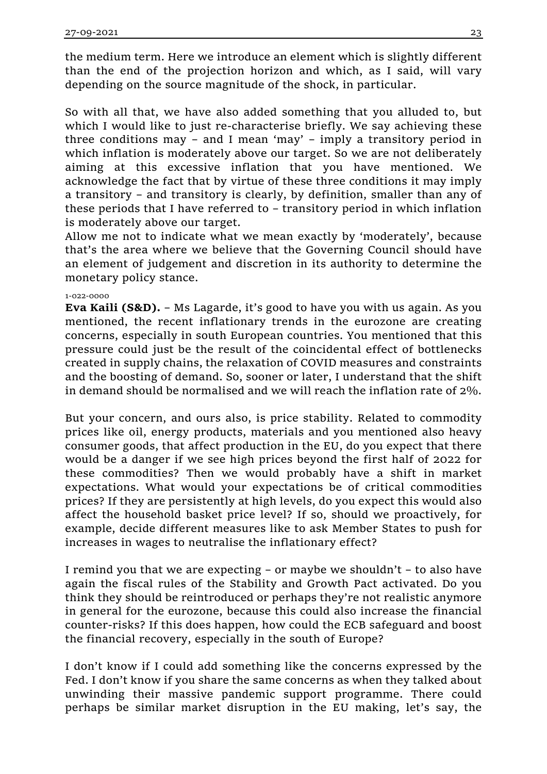the medium term. Here we introduce an element which is slightly different than the end of the projection horizon and which, as I said, will vary depending on the source magnitude of the shock, in particular.

So with all that, we have also added something that you alluded to, but which I would like to just re-characterise briefly. We say achieving these three conditions may – and I mean 'may' – imply a transitory period in which inflation is moderately above our target. So we are not deliberately aiming at this excessive inflation that you have mentioned. We acknowledge the fact that by virtue of these three conditions it may imply a transitory – and transitory is clearly, by definition, smaller than any of these periods that I have referred to – transitory period in which inflation is moderately above our target.

Allow me not to indicate what we mean exactly by 'moderately', because that's the area where we believe that the Governing Council should have an element of judgement and discretion in its authority to determine the monetary policy stance.

# 1-022-0000

**Eva Kaili (S&D).** – Ms Lagarde, it's good to have you with us again. As you mentioned, the recent inflationary trends in the eurozone are creating concerns, especially in south European countries. You mentioned that this pressure could just be the result of the coincidental effect of bottlenecks created in supply chains, the relaxation of COVID measures and constraints and the boosting of demand. So, sooner or later, I understand that the shift in demand should be normalised and we will reach the inflation rate of 2%.

But your concern, and ours also, is price stability. Related to commodity prices like oil, energy products, materials and you mentioned also heavy consumer goods, that affect production in the EU, do you expect that there would be a danger if we see high prices beyond the first half of 2022 for these commodities? Then we would probably have a shift in market expectations. What would your expectations be of critical commodities prices? If they are persistently at high levels, do you expect this would also affect the household basket price level? If so, should we proactively, for example, decide different measures like to ask Member States to push for increases in wages to neutralise the inflationary effect?

I remind you that we are expecting – or maybe we shouldn't – to also have again the fiscal rules of the Stability and Growth Pact activated. Do you think they should be reintroduced or perhaps they're not realistic anymore in general for the eurozone, because this could also increase the financial counter-risks? If this does happen, how could the ECB safeguard and boost the financial recovery, especially in the south of Europe?

I don't know if I could add something like the concerns expressed by the Fed. I don't know if you share the same concerns as when they talked about unwinding their massive pandemic support programme. There could perhaps be similar market disruption in the EU making, let's say, the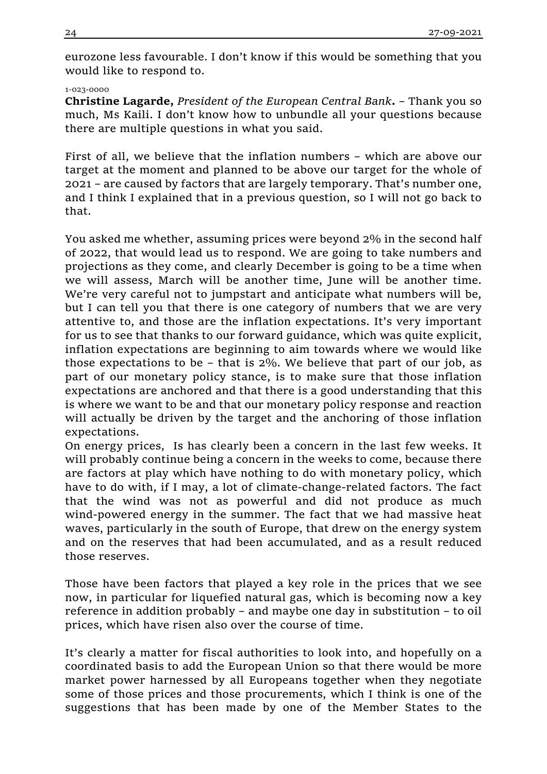eurozone less favourable. I don't know if this would be something that you would like to respond to.

### 1-023-0000

**Christine Lagarde,** *President of the European Central Bank***.** – Thank you so much, Ms Kaili. I don't know how to unbundle all your questions because there are multiple questions in what you said.

First of all, we believe that the inflation numbers – which are above our target at the moment and planned to be above our target for the whole of 2021 – are caused by factors that are largely temporary. That's number one, and I think I explained that in a previous question, so I will not go back to that.

You asked me whether, assuming prices were beyond 2% in the second half of 2022, that would lead us to respond. We are going to take numbers and projections as they come, and clearly December is going to be a time when we will assess, March will be another time, June will be another time. We're very careful not to jumpstart and anticipate what numbers will be, but I can tell you that there is one category of numbers that we are very attentive to, and those are the inflation expectations. It's very important for us to see that thanks to our forward guidance, which was quite explicit, inflation expectations are beginning to aim towards where we would like those expectations to be – that is 2%. We believe that part of our job, as part of our monetary policy stance, is to make sure that those inflation expectations are anchored and that there is a good understanding that this is where we want to be and that our monetary policy response and reaction will actually be driven by the target and the anchoring of those inflation expectations.

On energy prices, Is has clearly been a concern in the last few weeks. It will probably continue being a concern in the weeks to come, because there are factors at play which have nothing to do with monetary policy, which have to do with, if I may, a lot of climate-change-related factors. The fact that the wind was not as powerful and did not produce as much wind-powered energy in the summer. The fact that we had massive heat waves, particularly in the south of Europe, that drew on the energy system and on the reserves that had been accumulated, and as a result reduced those reserves.

Those have been factors that played a key role in the prices that we see now, in particular for liquefied natural gas, which is becoming now a key reference in addition probably – and maybe one day in substitution – to oil prices, which have risen also over the course of time.

It's clearly a matter for fiscal authorities to look into, and hopefully on a coordinated basis to add the European Union so that there would be more market power harnessed by all Europeans together when they negotiate some of those prices and those procurements, which I think is one of the suggestions that has been made by one of the Member States to the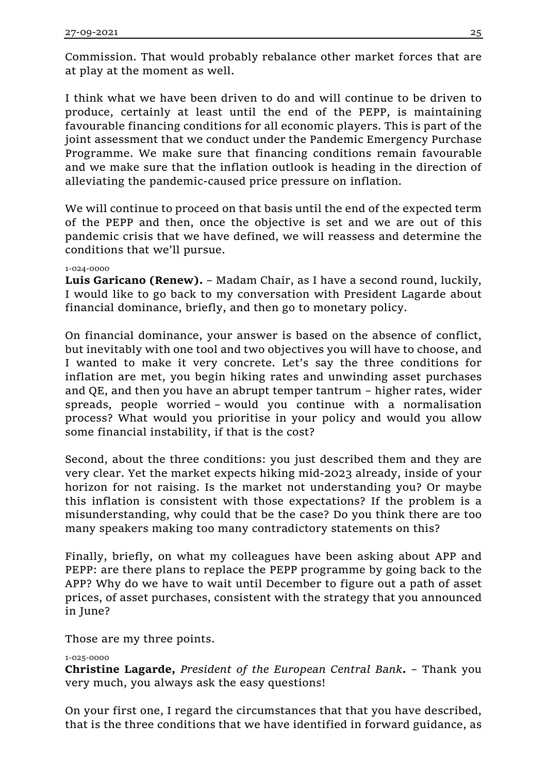Commission. That would probably rebalance other market forces that are at play at the moment as well.

I think what we have been driven to do and will continue to be driven to produce, certainly at least until the end of the PEPP, is maintaining favourable financing conditions for all economic players. This is part of the joint assessment that we conduct under the Pandemic Emergency Purchase Programme. We make sure that financing conditions remain favourable and we make sure that the inflation outlook is heading in the direction of alleviating the pandemic-caused price pressure on inflation.

We will continue to proceed on that basis until the end of the expected term of the PEPP and then, once the objective is set and we are out of this pandemic crisis that we have defined, we will reassess and determine the conditions that we'll pursue.

# 1-024-0000

**Luis Garicano (Renew).** – Madam Chair, as I have a second round, luckily, I would like to go back to my conversation with President Lagarde about financial dominance, briefly, and then go to monetary policy.

On financial dominance, your answer is based on the absence of conflict, but inevitably with one tool and two objectives you will have to choose, and I wanted to make it very concrete. Let's say the three conditions for inflation are met, you begin hiking rates and unwinding asset purchases and QE, and then you have an abrupt temper tantrum – higher rates, wider spreads, people worried – would you continue with a normalisation process? What would you prioritise in your policy and would you allow some financial instability, if that is the cost?

Second, about the three conditions: you just described them and they are very clear. Yet the market expects hiking mid-2023 already, inside of your horizon for not raising. Is the market not understanding you? Or maybe this inflation is consistent with those expectations? If the problem is a misunderstanding, why could that be the case? Do you think there are too many speakers making too many contradictory statements on this?

Finally, briefly, on what my colleagues have been asking about APP and PEPP: are there plans to replace the PEPP programme by going back to the APP? Why do we have to wait until December to figure out a path of asset prices, of asset purchases, consistent with the strategy that you announced in June?

Those are my three points.

# 1-025-0000

**Christine Lagarde,** *President of the European Central Bank***.** – Thank you very much, you always ask the easy questions!

On your first one, I regard the circumstances that that you have described, that is the three conditions that we have identified in forward guidance, as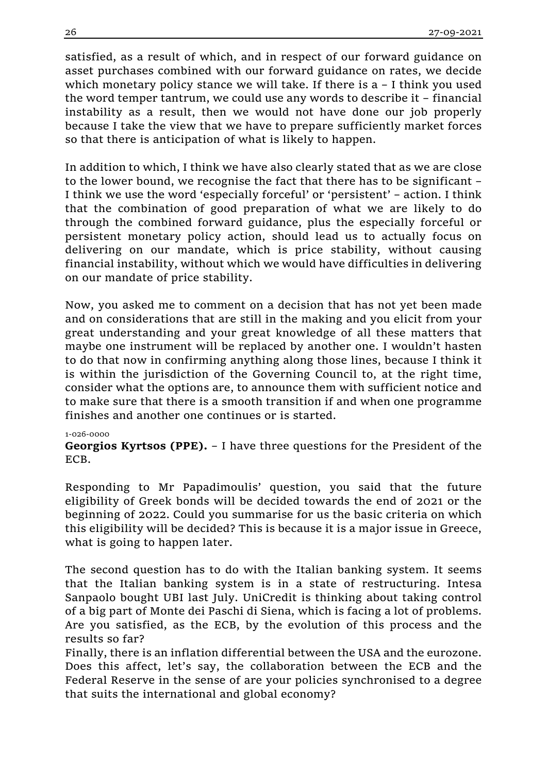satisfied, as a result of which, and in respect of our forward guidance on asset purchases combined with our forward guidance on rates, we decide which monetary policy stance we will take. If there is a – I think you used the word temper tantrum, we could use any words to describe it – financial instability as a result, then we would not have done our job properly because I take the view that we have to prepare sufficiently market forces so that there is anticipation of what is likely to happen.

In addition to which, I think we have also clearly stated that as we are close to the lower bound, we recognise the fact that there has to be significant – I think we use the word 'especially forceful' or 'persistent' – action. I think that the combination of good preparation of what we are likely to do through the combined forward guidance, plus the especially forceful or persistent monetary policy action, should lead us to actually focus on delivering on our mandate, which is price stability, without causing financial instability, without which we would have difficulties in delivering on our mandate of price stability.

Now, you asked me to comment on a decision that has not yet been made and on considerations that are still in the making and you elicit from your great understanding and your great knowledge of all these matters that maybe one instrument will be replaced by another one. I wouldn't hasten to do that now in confirming anything along those lines, because I think it is within the jurisdiction of the Governing Council to, at the right time, consider what the options are, to announce them with sufficient notice and to make sure that there is a smooth transition if and when one programme finishes and another one continues or is started.

## 1-026-0000

**Georgios Kyrtsos (PPE).** – I have three questions for the President of the ECB.

Responding to Mr Papadimoulis' question, you said that the future eligibility of Greek bonds will be decided towards the end of 2021 or the beginning of 2022. Could you summarise for us the basic criteria on which this eligibility will be decided? This is because it is a major issue in Greece, what is going to happen later.

The second question has to do with the Italian banking system. It seems that the Italian banking system is in a state of restructuring. Intesa Sanpaolo bought UBI last July. UniCredit is thinking about taking control of a big part of Monte dei Paschi di Siena, which is facing a lot of problems. Are you satisfied, as the ECB, by the evolution of this process and the results so far?

Finally, there is an inflation differential between the USA and the eurozone. Does this affect, let's say, the collaboration between the ECB and the Federal Reserve in the sense of are your policies synchronised to a degree that suits the international and global economy?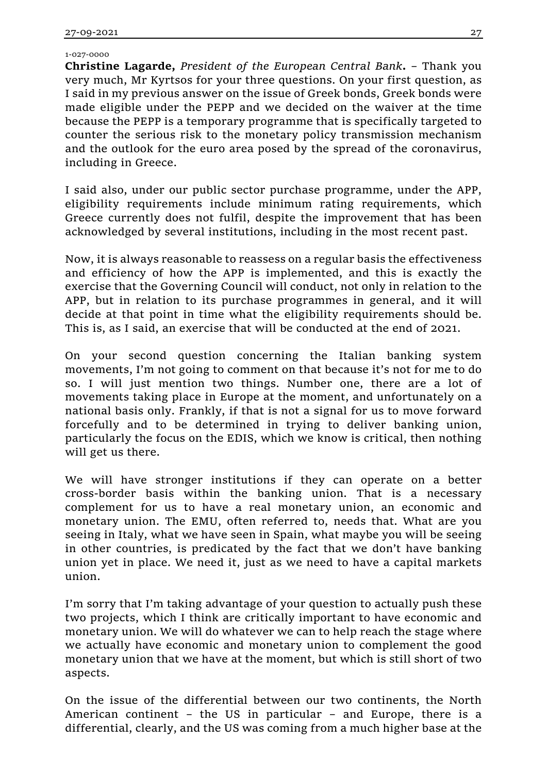1-027-0000

**Christine Lagarde,** *President of the European Central Bank***.** – Thank you very much, Mr Kyrtsos for your three questions. On your first question, as I said in my previous answer on the issue of Greek bonds, Greek bonds were made eligible under the PEPP and we decided on the waiver at the time because the PEPP is a temporary programme that is specifically targeted to counter the serious risk to the monetary policy transmission mechanism and the outlook for the euro area posed by the spread of the coronavirus, including in Greece.

I said also, under our public sector purchase programme, under the APP, eligibility requirements include minimum rating requirements, which Greece currently does not fulfil, despite the improvement that has been acknowledged by several institutions, including in the most recent past.

Now, it is always reasonable to reassess on a regular basis the effectiveness and efficiency of how the APP is implemented, and this is exactly the exercise that the Governing Council will conduct, not only in relation to the APP, but in relation to its purchase programmes in general, and it will decide at that point in time what the eligibility requirements should be. This is, as I said, an exercise that will be conducted at the end of 2021.

On your second question concerning the Italian banking system movements, I'm not going to comment on that because it's not for me to do so. I will just mention two things. Number one, there are a lot of movements taking place in Europe at the moment, and unfortunately on a national basis only. Frankly, if that is not a signal for us to move forward forcefully and to be determined in trying to deliver banking union, particularly the focus on the EDIS, which we know is critical, then nothing will get us there.

We will have stronger institutions if they can operate on a better cross-border basis within the banking union. That is a necessary complement for us to have a real monetary union, an economic and monetary union. The EMU, often referred to, needs that. What are you seeing in Italy, what we have seen in Spain, what maybe you will be seeing in other countries, is predicated by the fact that we don't have banking union yet in place. We need it, just as we need to have a capital markets union.

I'm sorry that I'm taking advantage of your question to actually push these two projects, which I think are critically important to have economic and monetary union. We will do whatever we can to help reach the stage where we actually have economic and monetary union to complement the good monetary union that we have at the moment, but which is still short of two aspects.

On the issue of the differential between our two continents, the North American continent – the US in particular – and Europe, there is a differential, clearly, and the US was coming from a much higher base at the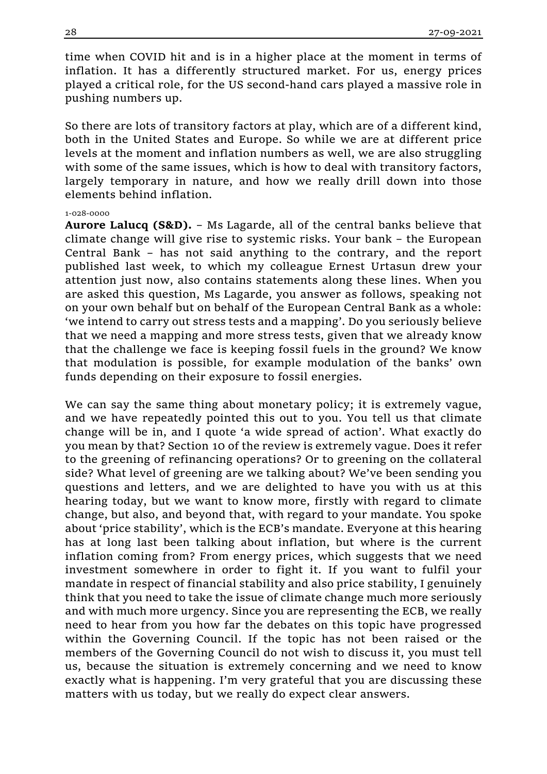time when COVID hit and is in a higher place at the moment in terms of inflation. It has a differently structured market. For us, energy prices played a critical role, for the US second-hand cars played a massive role in pushing numbers up.

So there are lots of transitory factors at play, which are of a different kind, both in the United States and Europe. So while we are at different price levels at the moment and inflation numbers as well, we are also struggling with some of the same issues, which is how to deal with transitory factors, largely temporary in nature, and how we really drill down into those elements behind inflation.

#### 1-028-0000

**Aurore Lalucq (S&D).** – Ms Lagarde, all of the central banks believe that climate change will give rise to systemic risks. Your bank – the European Central Bank – has not said anything to the contrary, and the report published last week, to which my colleague Ernest Urtasun drew your attention just now, also contains statements along these lines. When you are asked this question, Ms Lagarde, you answer as follows, speaking not on your own behalf but on behalf of the European Central Bank as a whole: 'we intend to carry out stress tests and a mapping'. Do you seriously believe that we need a mapping and more stress tests, given that we already know that the challenge we face is keeping fossil fuels in the ground? We know that modulation is possible, for example modulation of the banks' own funds depending on their exposure to fossil energies.

We can say the same thing about monetary policy; it is extremely vague, and we have repeatedly pointed this out to you. You tell us that climate change will be in, and I quote 'a wide spread of action'. What exactly do you mean by that? Section 10 of the review is extremely vague. Does it refer to the greening of refinancing operations? Or to greening on the collateral side? What level of greening are we talking about? We've been sending you questions and letters, and we are delighted to have you with us at this hearing today, but we want to know more, firstly with regard to climate change, but also, and beyond that, with regard to your mandate. You spoke about 'price stability', which is the ECB's mandate. Everyone at this hearing has at long last been talking about inflation, but where is the current inflation coming from? From energy prices, which suggests that we need investment somewhere in order to fight it. If you want to fulfil your mandate in respect of financial stability and also price stability, I genuinely think that you need to take the issue of climate change much more seriously and with much more urgency. Since you are representing the ECB, we really need to hear from you how far the debates on this topic have progressed within the Governing Council. If the topic has not been raised or the members of the Governing Council do not wish to discuss it, you must tell us, because the situation is extremely concerning and we need to know exactly what is happening. I'm very grateful that you are discussing these matters with us today, but we really do expect clear answers.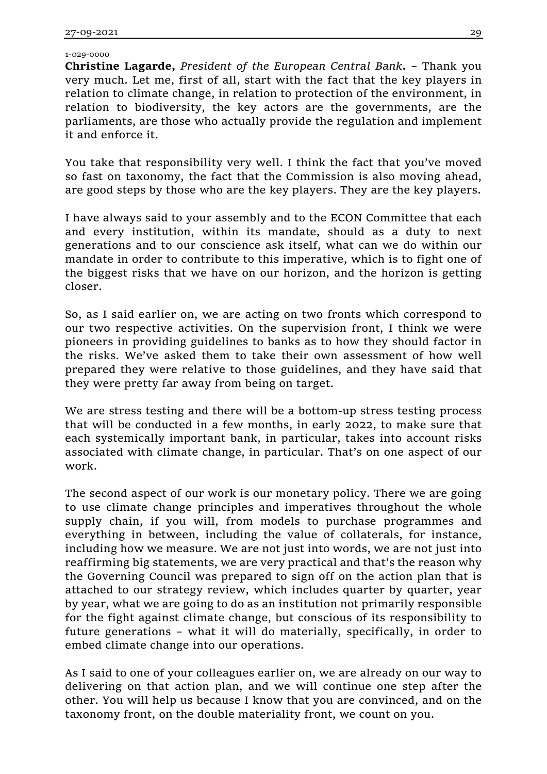1-029-0000

**Christine Lagarde,** *President of the European Central Bank***.** – Thank you very much. Let me, first of all, start with the fact that the key players in relation to climate change, in relation to protection of the environment, in relation to biodiversity, the key actors are the governments, are the parliaments, are those who actually provide the regulation and implement it and enforce it.

You take that responsibility very well. I think the fact that you've moved so fast on taxonomy, the fact that the Commission is also moving ahead, are good steps by those who are the key players. They are the key players.

I have always said to your assembly and to the ECON Committee that each and every institution, within its mandate, should as a duty to next generations and to our conscience ask itself, what can we do within our mandate in order to contribute to this imperative, which is to fight one of the biggest risks that we have on our horizon, and the horizon is getting closer.

So, as I said earlier on, we are acting on two fronts which correspond to our two respective activities. On the supervision front, I think we were pioneers in providing guidelines to banks as to how they should factor in the risks. We've asked them to take their own assessment of how well prepared they were relative to those guidelines, and they have said that they were pretty far away from being on target.

We are stress testing and there will be a bottom-up stress testing process that will be conducted in a few months, in early 2022, to make sure that each systemically important bank, in particular, takes into account risks associated with climate change, in particular. That's on one aspect of our work.

The second aspect of our work is our monetary policy. There we are going to use climate change principles and imperatives throughout the whole supply chain, if you will, from models to purchase programmes and everything in between, including the value of collaterals, for instance, including how we measure. We are not just into words, we are not just into reaffirming big statements, we are very practical and that's the reason why the Governing Council was prepared to sign off on the action plan that is attached to our strategy review, which includes quarter by quarter, year by year, what we are going to do as an institution not primarily responsible for the fight against climate change, but conscious of its responsibility to future generations – what it will do materially, specifically, in order to embed climate change into our operations.

As I said to one of your colleagues earlier on, we are already on our way to delivering on that action plan, and we will continue one step after the other. You will help us because I know that you are convinced, and on the taxonomy front, on the double materiality front, we count on you.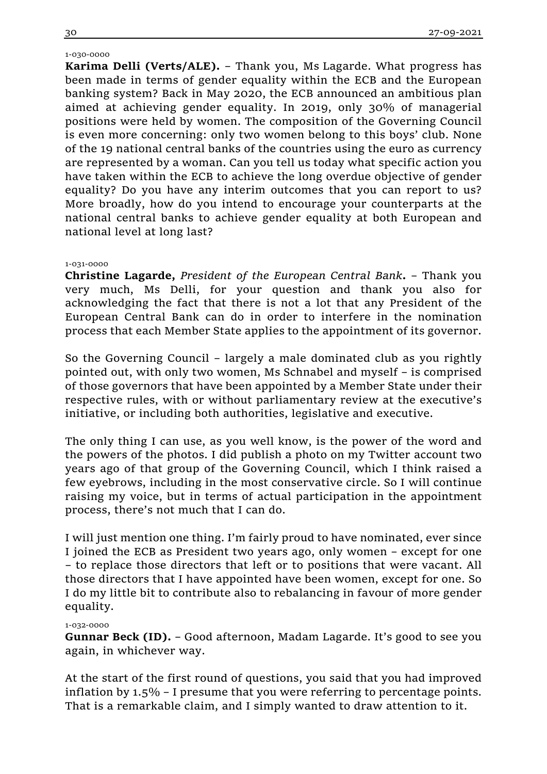## 1-030-0000

**Karima Delli (Verts/ALE).** – Thank you, Ms Lagarde. What progress has been made in terms of gender equality within the ECB and the European banking system? Back in May 2020, the ECB announced an ambitious plan aimed at achieving gender equality. In 2019, only 30% of managerial positions were held by women. The composition of the Governing Council is even more concerning: only two women belong to this boys' club. None of the 19 national central banks of the countries using the euro as currency are represented by a woman. Can you tell us today what specific action you have taken within the ECB to achieve the long overdue objective of gender equality? Do you have any interim outcomes that you can report to us? More broadly, how do you intend to encourage your counterparts at the national central banks to achieve gender equality at both European and national level at long last?

### 1-031-0000

**Christine Lagarde,** *President of the European Central Bank***.** – Thank you very much, Ms Delli, for your question and thank you also for acknowledging the fact that there is not a lot that any President of the European Central Bank can do in order to interfere in the nomination process that each Member State applies to the appointment of its governor.

So the Governing Council – largely a male dominated club as you rightly pointed out, with only two women, Ms Schnabel and myself – is comprised of those governors that have been appointed by a Member State under their respective rules, with or without parliamentary review at the executive's initiative, or including both authorities, legislative and executive.

The only thing I can use, as you well know, is the power of the word and the powers of the photos. I did publish a photo on my Twitter account two years ago of that group of the Governing Council, which I think raised a few eyebrows, including in the most conservative circle. So I will continue raising my voice, but in terms of actual participation in the appointment process, there's not much that I can do.

I will just mention one thing. I'm fairly proud to have nominated, ever since I joined the ECB as President two years ago, only women – except for one – to replace those directors that left or to positions that were vacant. All those directors that I have appointed have been women, except for one. So I do my little bit to contribute also to rebalancing in favour of more gender equality.

### 1-032-0000

**Gunnar Beck (ID).** – Good afternoon, Madam Lagarde. It's good to see you again, in whichever way.

At the start of the first round of questions, you said that you had improved inflation by 1.5% – I presume that you were referring to percentage points. That is a remarkable claim, and I simply wanted to draw attention to it.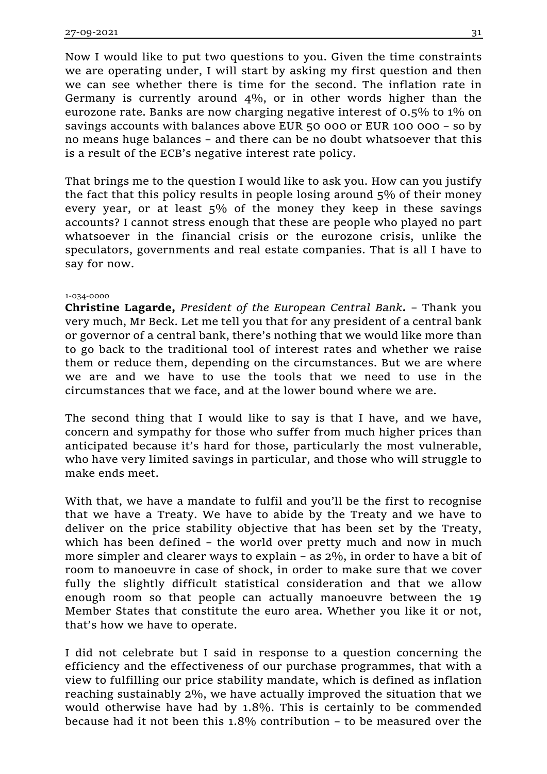Now I would like to put two questions to you. Given the time constraints we are operating under, I will start by asking my first question and then we can see whether there is time for the second. The inflation rate in Germany is currently around 4%, or in other words higher than the eurozone rate. Banks are now charging negative interest of 0.5% to 1% on savings accounts with balances above EUR 50 000 or EUR 100 000 – so by no means huge balances – and there can be no doubt whatsoever that this is a result of the ECB's negative interest rate policy.

That brings me to the question I would like to ask you. How can you justify the fact that this policy results in people losing around 5% of their money every year, or at least 5% of the money they keep in these savings accounts? I cannot stress enough that these are people who played no part whatsoever in the financial crisis or the eurozone crisis, unlike the speculators, governments and real estate companies. That is all I have to say for now.

### 1-034-0000

**Christine Lagarde,** *President of the European Central Bank***.** – Thank you very much, Mr Beck. Let me tell you that for any president of a central bank or governor of a central bank, there's nothing that we would like more than to go back to the traditional tool of interest rates and whether we raise them or reduce them, depending on the circumstances. But we are where we are and we have to use the tools that we need to use in the circumstances that we face, and at the lower bound where we are.

The second thing that I would like to say is that I have, and we have, concern and sympathy for those who suffer from much higher prices than anticipated because it's hard for those, particularly the most vulnerable, who have very limited savings in particular, and those who will struggle to make ends meet.

With that, we have a mandate to fulfil and you'll be the first to recognise that we have a Treaty. We have to abide by the Treaty and we have to deliver on the price stability objective that has been set by the Treaty, which has been defined – the world over pretty much and now in much more simpler and clearer ways to explain – as 2%, in order to have a bit of room to manoeuvre in case of shock, in order to make sure that we cover fully the slightly difficult statistical consideration and that we allow enough room so that people can actually manoeuvre between the 19 Member States that constitute the euro area. Whether you like it or not, that's how we have to operate.

I did not celebrate but I said in response to a question concerning the efficiency and the effectiveness of our purchase programmes, that with a view to fulfilling our price stability mandate, which is defined as inflation reaching sustainably 2%, we have actually improved the situation that we would otherwise have had by 1.8%. This is certainly to be commended because had it not been this 1.8% contribution – to be measured over the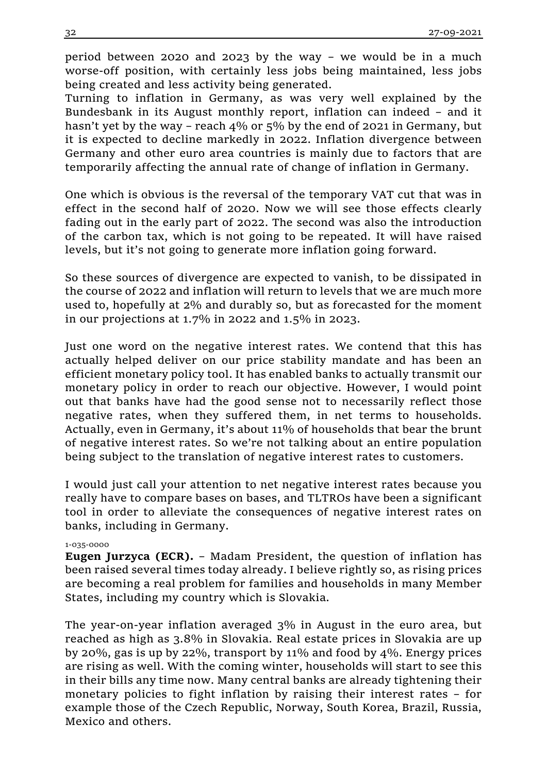period between 2020 and 2023 by the way – we would be in a much worse-off position, with certainly less jobs being maintained, less jobs being created and less activity being generated.

Turning to inflation in Germany, as was very well explained by the Bundesbank in its August monthly report, inflation can indeed – and it hasn't yet by the way – reach 4% or 5% by the end of 2021 in Germany, but it is expected to decline markedly in 2022. Inflation divergence between Germany and other euro area countries is mainly due to factors that are temporarily affecting the annual rate of change of inflation in Germany.

One which is obvious is the reversal of the temporary VAT cut that was in effect in the second half of 2020. Now we will see those effects clearly fading out in the early part of 2022. The second was also the introduction of the carbon tax, which is not going to be repeated. It will have raised levels, but it's not going to generate more inflation going forward.

So these sources of divergence are expected to vanish, to be dissipated in the course of 2022 and inflation will return to levels that we are much more used to, hopefully at 2% and durably so, but as forecasted for the moment in our projections at 1.7% in 2022 and 1.5% in 2023.

Just one word on the negative interest rates. We contend that this has actually helped deliver on our price stability mandate and has been an efficient monetary policy tool. It has enabled banks to actually transmit our monetary policy in order to reach our objective. However, I would point out that banks have had the good sense not to necessarily reflect those negative rates, when they suffered them, in net terms to households. Actually, even in Germany, it's about 11% of households that bear the brunt of negative interest rates. So we're not talking about an entire population being subject to the translation of negative interest rates to customers.

I would just call your attention to net negative interest rates because you really have to compare bases on bases, and TLTROs have been a significant tool in order to alleviate the consequences of negative interest rates on banks, including in Germany.

### 1-035-0000

**Eugen Jurzyca (ECR).** – Madam President, the question of inflation has been raised several times today already. I believe rightly so, as rising prices are becoming a real problem for families and households in many Member States, including my country which is Slovakia.

The year-on-year inflation averaged 3% in August in the euro area, but reached as high as 3.8% in Slovakia. Real estate prices in Slovakia are up by 20%, gas is up by 22%, transport by 11% and food by 4%. Energy prices are rising as well. With the coming winter, households will start to see this in their bills any time now. Many central banks are already tightening their monetary policies to fight inflation by raising their interest rates – for example those of the Czech Republic, Norway, South Korea, Brazil, Russia, Mexico and others.